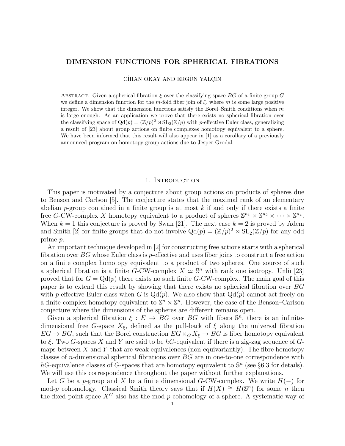## DIMENSION FUNCTIONS FOR SPHERICAL FIBRATIONS

CİHAN OKAY AND ERGÜN YALÇIN

ABSTRACT. Given a spherical fibration  $\xi$  over the classifying space BG of a finite group G we define a dimension function for the m-fold fiber join of  $\xi$ , where m is some large positive integer. We show that the dimension functions satisfy the Borel–Smith conditions when  $m$ is large enough. As an application we prove that there exists no spherical fibration over the classifying space of  $Qd(p) = (\mathbb{Z}/p)^2 \rtimes SL_2(\mathbb{Z}/p)$  with p-effective Euler class, generalizing a result of [23] about group actions on finite complexes homotopy equivalent to a sphere. We have been informed that this result will also appear in [1] as a corollary of a previously announced program on homotopy group actions due to Jesper Grodal.

### 1. INTRODUCTION

This paper is motivated by a conjecture about group actions on products of spheres due to Benson and Carlson [5]. The conjecture states that the maximal rank of an elementary abelian p-group contained in a finite group is at most  $k$  if and only if there exists a finite free G-CW-complex X homotopy equivalent to a product of spheres  $\mathbb{S}^{n_1} \times \mathbb{S}^{n_2} \times \cdots \times \mathbb{S}^{n_k}$ . When  $k = 1$  this conjecture is proved by Swan [21]. The next case  $k = 2$  is proved by Adem and Smith [2] for finite groups that do not involve  $Qd(p) = (\mathbb{Z}/p)^2 \rtimes SL_2(\mathbb{Z}/p)$  for any odd prime p.

An important technique developed in [2] for constructing free actions starts with a spherical fibration over  $BG$  whose Euler class is p-effective and uses fiber joins to construct a free action on a finite complex homotopy equivalent to a product of two spheres. One source of such a spherical fibration is a finite G-CW-complex  $X \simeq \mathbb{S}^n$  with rank one isotropy. Unlu [23] proved that for  $G = \mathrm{Qd}(p)$  there exists no such finite G-CW-complex. The main goal of this paper is to extend this result by showing that there exists no spherical fibration over BG with p-effective Euler class when G is  $Qd(p)$ . We also show that  $Qd(p)$  cannot act freely on a finite complex homotopy equivalent to  $\mathbb{S}^n \times \mathbb{S}^n$ . However, the case of the Benson–Carlson conjecture where the dimensions of the spheres are different remains open.

Given a spherical fibration  $\xi: E \to BG$  over BG with fibers  $\mathbb{S}^n$ , there is an infinitedimensional free G-space  $X_{\xi}$ , defined as the pull-back of  $\xi$  along the universal fibration  $EG \to BG$ , such that the Borel construction  $EG \times_G X_{\xi} \to BG$  is fiber homotopy equivalent to  $\xi$ . Two G-spaces X and Y are said to be hG-equivalent if there is a zig-zag sequence of Gmaps between  $X$  and  $Y$  that are weak equivalences (non-equivariantly). The fibre homotopy classes of *n*-dimensional spherical fibrations over  $BG$  are in one-to-one correspondence with hG-equivalence classes of G-spaces that are homotopy equivalent to  $\mathbb{S}^n$  (see §6.3 for details). We will use this correspondence throughout the paper without further explanations.

Let G be a p-group and X be a finite dimensional G-CW-complex. We write  $H(-)$  for mod-p cohomology. Classical Smith theory says that if  $H(X) \cong H(\mathbb{S}^n)$  for some n then the fixed point space  $X^G$  also has the mod-p cohomology of a sphere. A systematic way of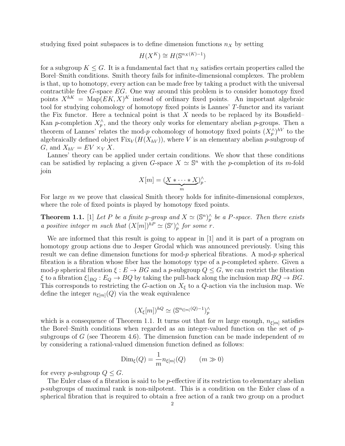studying fixed point subspaces is to define dimension functions  $n<sub>X</sub>$  by setting

$$
H(X^K) \cong H(\mathbb{S}^{n_X(K)-1})
$$

for a subgroup  $K \leq G$ . It is a fundamental fact that  $n<sub>X</sub>$  satisfies certain properties called the Borel–Smith conditions. Smith theory fails for infinite-dimensional complexes. The problem is that, up to homotopy, every action can be made free by taking a product with the universal contractible free  $G$ -space  $EG$ . One way around this problem is to consider homotopy fixed points  $X^{hK} = \text{Map}(EK, X)^K$  instead of ordinary fixed points. An important algebraic tool for studying cohomology of homotopy fixed points is Lannes' T-functor and its variant the Fix functor. Here a technical point is that X needs to be replaced by its Bousfield– Kan p-completion  $X_p^{\wedge}$ , and the theory only works for elementary abelian p-groups. Then a theorem of Lannes' relates the mod-p cohomology of homotopy fixed points  $(X_p^{\wedge})^{hV}$  to the algebraically defined object  $Fix_V(H(X_{hV}))$ , where V is an elementary abelian p-subgroup of G, and  $X_{hV} = EV \times_V X$ .

Lannes' theory can be applied under certain conditions. We show that these conditions can be satisfied by replacing a given G-space  $X \simeq \mathbb{S}^n$  with the p-completion of its m-fold join

$$
X[m] = (\underbrace{X * \cdots * X}_{m})^{\wedge}_{p}.
$$

For large  $m$  we prove that classical Smith theory holds for infinite-dimensional complexes, where the role of fixed points is played by homotopy fixed points.

**Theorem 1.1.** [1] Let P be a finite p-group and  $X \simeq (\mathbb{S}^n)_p^{\wedge}$  be a P-space. Then there exists a positive integer m such that  $(X[m])^{hP} \simeq (\mathbb{S}^r)_p^{\wedge}$  for some r.

We are informed that this result is going to appear in [1] and it is part of a program on homotopy group actions due to Jesper Grodal which was announced previously. Using this result we can define dimension functions for mod-p spherical fibrations. A mod-p spherical fibration is a fibration whose fiber has the homotopy type of a p-completed sphere. Given a mod-p spherical fibration  $\xi : E \to BG$  and a p-subgroup  $Q \leq G$ , we can restrict the fibration  $\xi$  to a fibration  $\xi|_{BQ}: E_Q \to BQ$  by taking the pull-back along the inclusion map  $BQ \to BG$ . This corresponds to restricting the G-action on  $X_{\xi}$  to a Q-action via the inclusion map. We define the integer  $n_{\xi[m]}(Q)$  via the weak equivalence

$$
(X_{\xi}[m])^{hQ} \simeq (\mathbb{S}^{n_{\xi[m]}(Q)-1})_p^{\wedge}
$$

which is a consequence of Theorem 1.1. It turns out that for m large enough,  $n_{\xi[m]}$  satisfies the Borel–Smith conditions when regarded as an integer-valued function on the set of  $p$ subgroups of G (see Theorem 4.6). The dimension function can be made independent of m by considering a rational-valued dimension function defined as follows:

$$
\text{Dim}_{\xi}(Q) = \frac{1}{m} n_{\xi[m]}(Q) \qquad (m \gg 0)
$$

for every *p*-subgroup  $Q \leq G$ .

The Euler class of a fibration is said to be *p*-effective if its restriction to elementary abelian p-subgroups of maximal rank is non-nilpotent. This is a condition on the Euler class of a spherical fibration that is required to obtain a free action of a rank two group on a product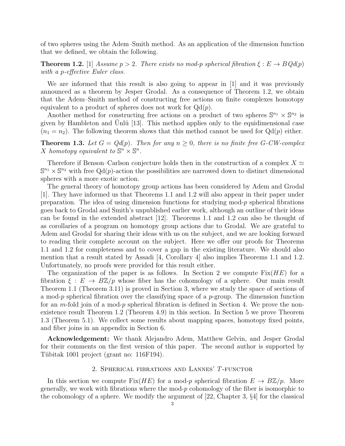of two spheres using the Adem–Smith method. As an application of the dimension function that we defined, we obtain the following.

**Theorem 1.2.** [1] Assume  $p > 2$ . There exists no mod-p spherical fibration  $\xi : E \to BQd(p)$ with a p-effective Euler class.

We are informed that this result is also going to appear in [1] and it was previously announced as a theorem by Jesper Grodal. As a consequence of Theorem 1.2, we obtain that the Adem–Smith method of constructing free actions on finite complexes homotopy equivalent to a product of spheres does not work for  $Qd(p)$ .

Another method for constructing free actions on a product of two spheres  $\mathbb{S}^{n_1} \times \mathbb{S}^{n_2}$  is given by Hambleton and Unlü [13]. This method applies only to the equidimensional case  $(n_1 = n_2)$ . The following theorem shows that this method cannot be used for  $Qd(p)$  either.

**Theorem 1.3.** Let  $G = Qd(p)$ . Then for any  $n \geq 0$ , there is no finite free G-CW-complex X homotopy equivalent to  $\mathbb{S}^n \times \mathbb{S}^n$ .

Therefore if Benson–Carlson conjecture holds then in the construction of a complex  $X \simeq$  $\mathbb{S}^{n_1} \times \mathbb{S}^{n_2}$  with free Qd(p)-action the possibilities are narrowed down to distinct dimensional spheres with a more exotic action.

The general theory of homotopy group actions has been considered by Adem and Grodal [1]. They have informed us that Theorems 1.1 and 1.2 will also appear in their paper under preparation. The idea of using dimension functions for studying mod-p spherical fibrations goes back to Grodal and Smith's unpublished earlier work, although an outline of their ideas can be found in the extended abstract [12]. Theorems 1.1 and 1.2 can also be thought of as corollaries of a program on homotopy group actions due to Grodal. We are grateful to Adem and Grodal for sharing their ideas with us on the subject, and we are looking forward to reading their complete account on the subject. Here we offer our proofs for Theorems 1.1 and 1.2 for completeness and to cover a gap in the existing literature. We should also mention that a result stated by Assadi [4, Corollary 4] also implies Theorems 1.1 and 1.2. Unfortunately, no proofs were provided for this result either.

The organization of the paper is as follows. In Section 2 we compute  $Fix(HE)$  for a fibration  $\xi : E \to B\mathbb{Z}/p$  whose fiber has the cohomology of a sphere. Our main result Theorem 1.1 (Theorem 3.11) is proved in Section 3, where we study the space of sections of a mod-p spherical fibration over the classifying space of a p-group. The dimension function for an m-fold join of a mod-p spherical fibration is defined in Section 4. We prove the nonexistence result Theorem 1.2 (Theorem 4.9) in this section. In Section 5 we prove Theorem 1.3 (Theorem 5.1). We collect some results about mapping spaces, homotopy fixed points, and fiber joins in an appendix in Section 6.

Acknowledgement: We thank Alejandro Adem, Matthew Gelvin, and Jesper Grodal for their comments on the first version of this paper. The second author is supported by Tübitak 1001 project (grant no: 116F194).

# 2. Spherical fibrations and Lannes' T-functor

In this section we compute Fix(HE) for a mod-p spherical fibration  $E \to B\mathbb{Z}/p$ . More generally, we work with fibrations where the mod-p cohomology of the fiber is isomorphic to the cohomology of a sphere. We modify the argument of [22, Chapter 3, §4] for the classical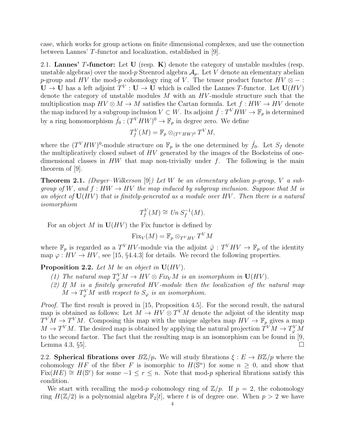case, which works for group actions on finite dimensional complexes, and use the connection between Lannes' T-functor and localization, established in [9].

2.1. Lannes' T-functor: Let U (resp.  $K$ ) denote the category of unstable modules (resp. unstable algebras) over the mod-p Steenrod algebra  $A_p$ . Let V denote an elementary abelian p-group and HV the mod-p cohomology ring of V. The tensor product functor  $HV \otimes -$ :  $U \to U$  has a left adjoint  $T^V : U \to U$  which is called the Lannes T-functor. Let  $U(HV)$ denote the category of unstable modules  $M$  with an  $HV$ -module structure such that the multiplication map  $HV \otimes M \to M$  satisfies the Cartan formula. Let  $f: HW \to HV$  denote the map induced by a subgroup inclusion  $V \subset W$ . Its adjoint  $\hat{f}: T^V H W \to \mathbb{F}_p$  is determined by a ring homomorphism  $\hat{f}_0: (T^V H W)^0 \to \mathbb{F}_p$  in degree zero. We define

$$
T_f^V(M) = \mathbb{F}_p \otimes_{(T^V H W)^0} T^V M,
$$

where the  $(T^{V}HW)^{0}$ -module structure on  $\mathbb{F}_p$  is the one determined by  $\hat{f}_0$ . Let  $S_f$  denote the multiplicatively closed subset of HV generated by the images of the Bocksteins of onedimensional classes in  $HW$  that map non-trivially under f. The following is the main theorem of [9].

**Theorem 2.1.** (Dwyer–Wilkerson [9]) Let W be an elementary abelian p-group, V a subgroup of W, and  $f: HW \to HV$  the map induced by subgroup inclusion. Suppose that M is an object of  $U(HV)$  that is finitely-generated as a module over HV. Then there is a natural isomorphism

$$
T_f^V(M) \cong Un S_f^{-1}(M).
$$

For an object M in  $U(HV)$  the Fix functor is defined by

$$
\mathrm{Fix}_V(M)=\mathbb{F}_p\otimes_{T^VHV}T^VM
$$

where  $\mathbb{F}_p$  is regarded as a  $T^VHV$ -module via the adjoint  $\hat{\varphi}: T^VHV \to \mathbb{F}_p$  of the identity map  $\varphi: HV \to HV$ , see [15, §4.4.3] for details. We record the following properties.

**Proposition 2.2.** Let  $M$  be an object in  $U(HV)$ .

- (1) The natural map  $T_{\varphi}^{V} M \to HV \otimes Fix_{V} M$  is an isomorphism in  $U(HV)$ .
- (2) If  $M$  is a finitely generated HV-module then the localization of the natural map  $M \to T_{\varphi}^{V} M$  with respect to  $S_{\varphi}$  is an isomorphism.

Proof. The first result is proved in [15, Proposition 4.5]. For the second result, the natural map is obtained as follows: Let  $M \to HV \otimes T^V M$  denote the adjoint of the identity map  $T^{V}M \to T^{V}M$ . Composing this map with the unique algebra map  $HV \to \mathbb{F}_p$  gives a map  $M \to T^V M$ . The desired map is obtained by applying the natural projection  $T^V M \to T^V_{\varphi} M$ to the second factor. The fact that the resulting map is an isomorphism can be found in [9, Lemma 4.3,  $\S5$ .

2.2. Spherical fibrations over  $B\mathbb{Z}/p$ . We will study fibrations  $\xi : E \to B\mathbb{Z}/p$  where the cohomology HF of the fiber F is isomorphic to  $H(\mathbb{S}^n)$  for some  $n \geq 0$ , and show that Fix(HE)  $\cong$  H(S<sup>r</sup>) for some  $-1 \leq r \leq n$ . Note that mod-p spherical fibrations satisfy this condition.

We start with recalling the mod-p cohomology ring of  $\mathbb{Z}/p$ . If  $p = 2$ , the cohomology ring  $H(\mathbb{Z}/2)$  is a polynomial algebra  $\mathbb{F}_2[t]$ , where t is of degree one. When  $p > 2$  we have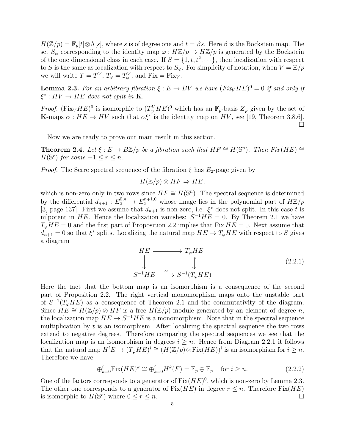$H(\mathbb{Z}/p) = \mathbb{F}_p[t] \otimes \Lambda[s]$ , where s is of degree one and  $t = \beta s$ . Here  $\beta$  is the Bockstein map. The set  $S_{\varphi}$  corresponding to the identity map  $\varphi : H\mathbb{Z}/p \to H\mathbb{Z}/p$  is generated by the Bockstein of the one dimensional class in each case. If  $S = \{1, t, t^2, \dots\}$ , then localization with respect to S is the same as localization with respect to  $S_{\varphi}$ . For simplicity of notation, when  $V = \mathbb{Z}/p$ we will write  $T = T^V$ ,  $T_{\varphi} = T^V_{\varphi}$ , and  $Fix = Fix_V$ .

**Lemma 2.3.** For an arbitrary fibration  $\xi : E \to BV$  we have  $(Fix_VHE)^0 = 0$  if and only if  $\xi^* : HV \to HE$  does not split in **K**.

*Proof.* (Fix<sub>V</sub> HE)<sup>0</sup> is isomorphic to  $(T^V_{\varphi}HE)^0$  which has an  $\mathbb{F}_p$ -basis  $Z_{\varphi}$  given by the set of **K**-maps  $\alpha : HE \to HV$  such that  $\alpha \xi^*$  is the identity map on HV, see [19, Theorem 3.8.6].  $\Box$ 

Now we are ready to prove our main result in this section.

**Theorem 2.4.** Let  $\xi : E \to B\mathbb{Z}/p$  be a fibration such that  $HF \cong H(\mathbb{S}^n)$ . Then  $Fix(HE) \cong$  $H(\mathbb{S}^r)$  for some  $-1 \leq r \leq n$ .

*Proof.* The Serre spectral sequence of the fibration  $\xi$  has  $E_2$ -page given by

$$
H(\mathbb{Z}/p) \otimes HF \Rightarrow HE,
$$

which is non-zero only in two rows since  $HF \cong H(\mathbb{S}^n)$ . The spectral sequence is determined by the differential  $d_{n+1}: E_2^{0,n} \to E_2^{n+1,0}$  whose image lies in the polynomial part of  $H\mathbb{Z}/p$ [3, page 137]. First we assume that  $d_{n+1}$  is non-zero, i.e.  $\xi^*$  does not split. In this case t is nilpotent in HE. Hence the localization vanishes:  $S^{-1}HE = 0$ . By Theorem 2.1 we have  $T_{\varphi}HE = 0$  and the first part of Proposition 2.2 implies that Fix  $HE = 0$ . Next assume that  $d_{n+1} = 0$  so that  $\xi^*$  splits. Localizing the natural map  $HE \to T_{\varphi}HE$  with respect to S gives a diagram

$$
HE \longrightarrow T_{\varphi}HE
$$
  
\n
$$
\downarrow \qquad \qquad \downarrow \qquad (2.2.1)
$$
  
\n
$$
S^{-1}HE \xrightarrow{\cong} S^{-1}(T_{\varphi}HE)
$$

Here the fact that the bottom map is an isomorphism is a consequence of the second part of Proposition 2.2. The right vertical monomorphism maps onto the unstable part of  $S^{-1}(T_{\varphi}HE)$  as a consequence of Theorem 2.1 and the commutativity of the diagram. Since  $HE \cong H(\mathbb{Z}/p) \otimes HF$  is a free  $H(\mathbb{Z}/p)$ -module generated by an element of degree n, the localization map  $HE \to S^{-1}HE$  is a monomorphism. Note that in the spectral sequence multiplication by  $t$  is an isomorphism. After localizing the spectral sequence the two rows extend to negative degrees. Therefore comparing the spectral sequences we see that the localization map is an isomorphism in degrees  $i \geq n$ . Hence from Diagram 2.2.1 it follows that the natural map  $H^iE \to (T_{\varphi}HE)^i \cong (H(\mathbb{Z}/p) \otimes \text{Fix}(HE))^i$  is an isomorphism for  $i \geq n$ . Therefore we have

$$
\bigoplus_{k=0}^{i} \text{Fix}(HE)^{k} \cong \bigoplus_{k=0}^{i} H^{k}(F) = \mathbb{F}_{p} \oplus \mathbb{F}_{p} \quad \text{for } i \ge n. \tag{2.2.2}
$$

One of the factors corresponds to a generator of  $Fix(HE)^0$ , which is non-zero by Lemma 2.3. The other one corresponds to a generator of  $Fix(HE)$  in degree  $r \leq n$ . Therefore  $Fix(HE)$ is isomorphic to  $H(\mathbb{S}^r)$  where  $0 \leq r \leq n$ .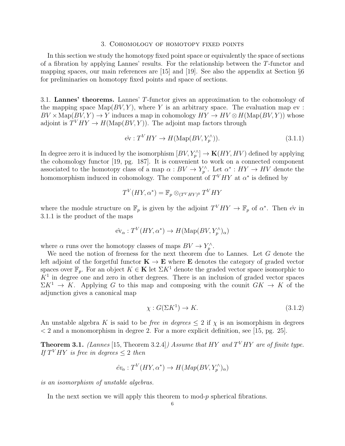#### 3. Cohomology of homotopy fixed points

In this section we study the homotopy fixed point space or equivalently the space of sections of a fibration by applying Lannes' results. For the relationship between the T-functor and mapping spaces, our main references are [15] and [19]. See also the appendix at Section §6 for preliminaries on homotopy fixed points and space of sections.

3.1. Lannes' theorems. Lannes' T-functor gives an approximation to the cohomology of the mapping space  $\text{Map}(BV, Y)$ , where Y is an arbitrary space. The evaluation map ev :  $BV \times \text{Map}(BV, Y) \to Y$  induces a map in cohomology  $HY \to HV \otimes H(\text{Map}(BV, Y))$  whose adjoint is  $T<sup>V</sup>HY \rightarrow H(\text{Map}(BV,Y))$ . The adjoint map factors through

$$
\hat{\text{ev}}: T^V H Y \to H(\text{Map}(BV, Y_p^{\wedge})).\tag{3.1.1}
$$

In degree zero it is induced by the isomorphism  $[BV, Y^{\wedge}_p] \to \mathbf{K}(HY, HV)$  defined by applying the cohomology functor [19, pg. 187]. It is convenient to work on a connected component associated to the homotopy class of a map  $\alpha: BV \to Y_p^{\wedge}$ . Let  $\alpha^*: HY \to HV$  denote the homomorphism induced in cohomology. The component of  $T<sup>V</sup>HY$  at  $\alpha^*$  is defined by

$$
T^V(HY, \alpha^*) = \mathbb{F}_p \otimes_{(T^V H Y)^0} T^V H Y
$$

where the module structure on  $\mathbb{F}_p$  is given by the adjoint  $T^VHY \to \mathbb{F}_p$  of  $\alpha^*$ . Then  $\hat{\text{ev}}$  in 3.1.1 is the product of the maps

$$
\hat{\mathrm{ev}}_\alpha: T^V(HY, \alpha^*) \to H(\mathrm{Map}(BV, Y_p^\wedge)_\alpha)
$$

where  $\alpha$  runs over the homotopy classes of maps  $BV \to Y_p^{\wedge}$ .

We need the notion of freeness for the next theorem due to Lannes. Let G denote the left adjoint of the forgetful functor  $K \to E$  where E denotes the category of graded vector spaces over  $\mathbb{F}_p$ . For an object  $K \in \mathbf{K}$  let  $\Sigma K^1$  denote the graded vector space isomorphic to  $K<sup>1</sup>$  in degree one and zero in other degrees. There is an inclusion of graded vector spaces  $\Sigma K^1 \to K$ . Applying G to this map and composing with the counit  $GK \to K$  of the adjunction gives a canonical map

$$
\chi: G(\Sigma K^1) \to K. \tag{3.1.2}
$$

An unstable algebra K is said to be *free in degrees*  $\leq 2$  if  $\chi$  is an isomorphism in degrees  $\langle 2 \rangle$  and a monomorphism in degree 2. For a more explicit definition, see [15, pg. 25].

**Theorem 3.1.** (Lannes [15, Theorem 3.2.4]) Assume that HY and  $T<sup>V</sup>HY$  are of finite type. If  $T^VHY$  is free in degrees  $\leq 2$  then

$$
\hat{ev}_{\alpha}: T^V(HY, \alpha^*) \to H(Map(BV, Y_p^{\wedge})_{\alpha})
$$

is an isomorphism of unstable algebras.

In the next section we will apply this theorem to  $\text{mod-}p$  spherical fibrations.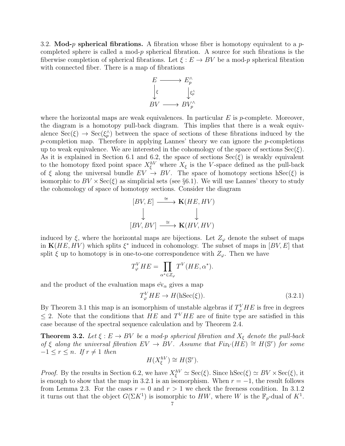3.2. Mod-p spherical fibrations. A fibration whose fiber is homotopy equivalent to a pcompleted sphere is called a mod- $p$  spherical fibration. A source for such fibrations is the fiberwise completion of spherical fibrations. Let  $\xi : E \to BV$  be a mod-p spherical fibration with connected fiber. There is a map of fibrations



where the horizontal maps are weak equivalences. In particular  $E$  is p-complete. Moreover, the diagram is a homotopy pull-back diagram. This implies that there is a weak equivalence  $\operatorname{Sec}(\xi) \to \operatorname{Sec}(\xi_p)$  between the space of sections of these fibrations induced by the p-completion map. Therefore in applying Lannes' theory we can ignore the p-completions up to weak equivalence. We are interested in the cohomology of the space of sections  $\text{Sec}(\xi)$ . As it is explained in Section 6.1 and 6.2, the space of sections  $\text{Sec}(\xi)$  is weakly equivalent to the homotopy fixed point space  $X_{\xi}^{hV}$  where  $X_{\xi}$  is the V-space defined as the pull-back of  $\xi$  along the universal bundle  $EV \rightarrow BV$ . The space of homotopy sections hSec( $\xi$ ) is isomorphic to  $BV \times \text{Sec}(\xi)$  as simplicial sets (see §6.1). We will use Lannes' theory to study the cohomology of space of homotopy sections. Consider the diagram

$$
[BV, E] \xrightarrow{\cong} \mathbf{K}(HE, HV)
$$
  

$$
\downarrow \qquad \qquad \downarrow
$$
  

$$
[BV, BV] \xrightarrow{\cong} \mathbf{K}(HV, HV)
$$

induced by  $\xi$ , where the horizontal maps are bijections. Let  $Z_{\varphi}$  denote the subset of maps in  $\mathbf{K}(HE, HV)$  which splits  $\xi^*$  induced in cohomology. The subset of maps in  $[BV, E]$  that split  $\xi$  up to homotopy is in one-to-one correspondence with  $Z_{\varphi}$ . Then we have

$$
T_{\varphi}^V H E = \prod_{\alpha^* \in Z_{\varphi}} T^V (H E, \alpha^*).
$$

and the product of the evaluation maps  $\hat{\mathbf{ev}}_{\alpha}$  gives a map

$$
T_{\varphi}^{V}HE \to H(\text{hSec}(\xi)).\tag{3.2.1}
$$

By Theorem 3.1 this map is an isomorphism of unstable algebras if  $T_{\varphi}^{V}HE$  is free in degrees  $\leq$  2. Note that the conditions that HE and T<sup>V</sup>HE are of finite type are satisfied in this case because of the spectral sequence calculation and by Theorem 2.4.

**Theorem 3.2.** Let  $\xi : E \to BV$  be a mod-p spherical fibration and  $X_{\xi}$  denote the pull-back of  $\xi$  along the universal fibration  $EV \to BV$ . Assume that  $Fix_V(H\tilde{E}) \cong H(\mathbb{S}^r)$  for some  $-1 \leq r \leq n$ . If  $r \neq 1$  then

$$
H(X_{\xi}^{hV}) \cong H(\mathbb{S}^r).
$$

*Proof.* By the results in Section 6.2, we have  $X_{\xi}^{hV} \simeq \text{Sec}(\xi)$ . Since  $h\text{Sec}(\xi) \simeq BV \times \text{Sec}(\xi)$ , it is enough to show that the map in 3.2.1 is an isomorphism. When  $r = -1$ , the result follows from Lemma 2.3. For the cases  $r = 0$  and  $r > 1$  we check the freeness condition. In 3.1.2 it turns out that the object  $G(\Sigma K^1)$  is isomorphic to HW, where W is the  $\mathbb{F}_p$ -dual of  $K^1$ .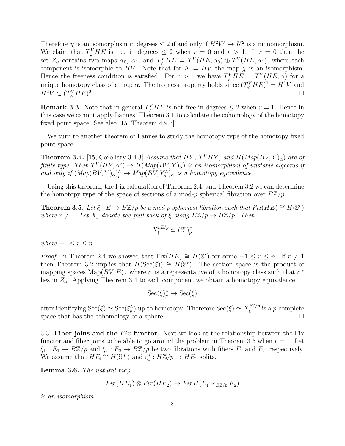Therefore  $\chi$  is an isomorphism in degrees  $\leq 2$  if and only if  $H^2W \to K^2$  is a monomorphism. We claim that  $T_{\varphi}^{V}HE$  is free in degrees  $\leq 2$  when  $r = 0$  and  $r > 1$ . If  $r = 0$  then the set  $Z_{\varphi}$  contains two maps  $\alpha_0$ ,  $\alpha_1$ , and  $T_{\varphi}^VHE = T^V(HE, \alpha_0) \oplus T^V(HE, \alpha_1)$ , where each component is isomorphic to HV. Note that for  $K = HV$  the map  $\chi$  is an isomorphism. Hence the freeness condition is satisfied. For  $r > 1$  we have  $T_{\varphi}^{V}HE = T^{V}(HE, \alpha)$  for a unique homotopy class of a map  $\alpha$ . The freeness property holds since  $(T_{\varphi}^{V}HE)^{1} = H^{1}V$  and  $H^2V \subset (T^V_{\varphi}HE)^2$ . The contract of the contract of the contract of the contract of the contract of  $\Box$ 

**Remark 3.3.** Note that in general  $T_{\varphi}^{V}HE$  is not free in degrees  $\leq 2$  when  $r = 1$ . Hence in this case we cannot apply Lannes' Theorem 3.1 to calculate the cohomology of the homotopy fixed point space. See also [15, Theorem 4.9.3].

We turn to another theorem of Lannes to study the homotopy type of the homotopy fixed point space.

**Theorem 3.4.** [15, Corollary 3.4.3] Assume that HY,  $T<sup>V</sup>HY$ , and  $H(Map(BV,Y)_{\alpha})$  are of finite type. Then  $T^V(HY, \alpha^*) \to H(Map(BV, Y)_{\alpha})$  is an isomorphism of unstable algebras if and only if  $(Map(BV,Y)_{\alpha})_p^{\wedge} \to Map(BV,Y_p^{\wedge})_{\alpha}$  is a homotopy equivalence.

Using this theorem, the Fix calculation of Theorem 2.4, and Theorem 3.2 we can determine the homotopy type of the space of sections of a mod-p spherical fibration over  $B\mathbb{Z}/p$ .

**Theorem 3.5.** Let  $\xi : E \to B\mathbb{Z}/p$  be a mod-p spherical fibration such that  $Fix(HE) \cong H(\mathbb{S}^r)$ where  $r \neq 1$ . Let  $X_{\xi}$  denote the pull-back of  $\xi$  along  $E\mathbb{Z}/p \to B\mathbb{Z}/p$ . Then

$$
X_{\xi}^{h\mathbb{Z}/p} \simeq (\mathbb{S}^r)_p^{\wedge}
$$

where  $-1 \leq r \leq n$ .

*Proof.* In Theorem 2.4 we showed that  $Fix(HE) \cong H(\mathbb{S}^r)$  for some  $-1 \leq r \leq n$ . If  $r \neq 1$ then Theorem 3.2 implies that  $H(\text{Sec}(\xi)) \cong H(\mathbb{S}^r)$ . The section space is the product of mapping spaces  $\text{Map}(BV, E)_{\alpha}$  where  $\alpha$  is a representative of a homotopy class such that  $\alpha^*$ lies in  $Z_{\varphi}$ . Applying Theorem 3.4 to each component we obtain a homotopy equivalence

 $\operatorname{Sec}(\xi)_p^{\wedge} \to \operatorname{Sec}(\xi)$ 

after identifying  $\operatorname{Sec}(\xi) \simeq \operatorname{Sec}(\xi_p^{\wedge})$  up to homotopy. Therefore  $\operatorname{Sec}(\xi) \simeq X_{\xi}^{h\mathbb{Z}/p}$  $\frac{c^{n\omega/p}}{\xi}$  is a *p*-complete space that has the cohomology of a sphere.  $\Box$ 

3.3. Fiber joins and the  $Fix$  functor. Next we look at the relationship between the Fix functor and fiber joins to be able to go around the problem in Theorem 3.5 when  $r = 1$ . Let  $\xi_1 : E_1 \to B\mathbb{Z}/p$  and  $\xi_2 : E_2 \to B\mathbb{Z}/p$  be two fibrations with fibers  $F_1$  and  $F_2$ , respectively. We assume that  $HF_i \cong H(\mathbb{S}^{n_i})$  and  $\xi_1^*: H\mathbb{Z}/p \to HE_1$  splits.

Lemma 3.6. The natural map

$$
Fix(HE_1) \otimes Fix(HE_2) \to FixH(E_1 \times_{B\mathbb{Z}/p} E_2)
$$

is an isomorphism.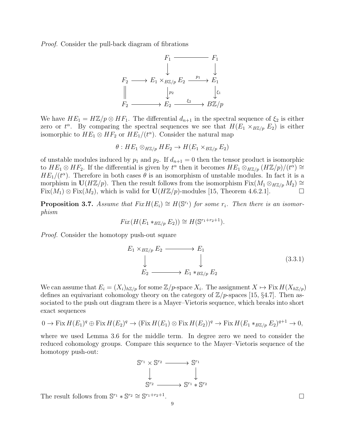Proof. Consider the pull-back diagram of fibrations



We have  $HE_1 = H\mathbb{Z}/p \otimes HF_1$ . The differential  $d_{n+1}$  in the spectral sequence of  $\xi_2$  is either zero or  $t^{\alpha}$ . By comparing the spectral sequences we see that  $H(E_1 \times_{B\mathbb{Z}/p} E_2)$  is either isomorphic to  $HE_1 \otimes HF_2$  or  $HE_1/(t^{\alpha})$ . Consider the natural map

$$
\theta: HE_1 \otimes_{H\mathbb{Z}/p} HE_2 \to H(E_1 \times_{B\mathbb{Z}/p} E_2)
$$

of unstable modules induced by  $p_1$  and  $p_2$ . If  $d_{n+1} = 0$  then the tensor product is isomorphic to  $HE_1 \otimes HF_2$ . If the differential is given by  $t^{\alpha}$  then it becomes  $HE_1 \otimes_{H\mathbb{Z}/p}(H\mathbb{Z}/p)/(t^{\alpha}) \cong$  $HE_1/(t^{\alpha})$ . Therefore in both cases  $\theta$  is an isomorphism of unstable modules. In fact it is a morphism in  $U(H\mathbb{Z}/p)$ . Then the result follows from the isomorphism  $Fix(M_1 \otimes_{H\mathbb{Z}/p} M_2) \cong$  $Fix(M_1) \otimes Fix(M_2)$ , which is valid for  $\mathbf{U}(H\mathbb{Z}/p)$ -modules [15, Theorem 4.6.2.1].

**Proposition 3.7.** Assume that  $Fix H(E_i) \cong H(\mathbb{S}^{r_i})$  for some  $r_i$ . Then there is an isomorphism

$$
Fix(H(E_1 *_{B\mathbb{Z}/p} E_2)) \cong H(\mathbb{S}^{r_1+r_2+1}).
$$

Proof. Consider the homotopy push-out square

$$
E_1 \times_{B\mathbb{Z}/p} E_2 \longrightarrow E_1
$$
\n
$$
\downarrow \qquad \qquad \downarrow
$$
\n
$$
E_2 \longrightarrow E_1 \ast_{B\mathbb{Z}/p} E_2 \qquad (3.3.1)
$$

We can assume that  $E_i = (X_i)_{h\mathbb{Z}/p}$  for some  $\mathbb{Z}/p$ -space  $X_i$ . The assignment  $X \mapsto \text{Fix } H(X_{h\mathbb{Z}/p})$ defines an equivariant cohomology theory on the category of  $\mathbb{Z}/p$ -spaces [15, §4.7]. Then associated to the push out diagram there is a Mayer–Vietoris sequence, which breaks into short exact sequences

$$
0 \to \operatorname{Fix} H(E_1)^q \oplus \operatorname{Fix} H(E_2)^q \to (\operatorname{Fix} H(E_1) \otimes \operatorname{Fix} H(E_2))^q \to \operatorname{Fix} H(E_1 *_{B\mathbb{Z}/p} E_2)^{q+1} \to 0,
$$

where we used Lemma 3.6 for the middle term. In degree zero we need to consider the reduced cohomology groups. Compare this sequence to the Mayer–Vietoris sequence of the homotopy push-out:



The result follows from  $\mathbb{S}^{r_1} * \mathbb{S}^{r_2} \cong \mathbb{S}^{r_1+r_2+1}$ 

.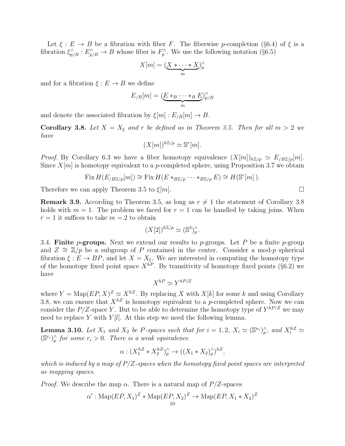Let  $\xi : E \to B$  be a fibration with fiber F. The fiberwise p-completion (§6.4) of  $\xi$  is a fibration  $\xi_{p/B}^{\wedge}: E_{p/B}^{\wedge} \to B$  whose fiber is  $F_p^{\wedge}$ . We use the following notation (§6.5)

$$
X[m] = (\underbrace{X * \cdots * X}_{m})_p^{\wedge}
$$

and for a fibration  $\xi : E \to B$  we define

$$
E_{/B}[m] = (\underbrace{E *_{B} \cdots *_{B} E}_{m})_{p/B}^{\wedge}
$$

and denote the associated fibration by  $\xi[m] : E_{B}[m] \to B$ .

**Corollary 3.8.** Let  $X = X_{\xi}$  and r be defined as in Theorem 3.5. Then for all  $m > 2$  we have

$$
(X[m])^{h\mathbb{Z}/p} \simeq \mathbb{S}^r[m].
$$

*Proof.* By Corollary 6.3 we have a fiber homotopy equivalence  $(X[m])_{h\mathbb{Z}/p} \simeq E_{/B\mathbb{Z}/p}[m].$ Since  $X[m]$  is homotopy equivalent to a p-completed sphere, using Proposition 3.7 we obtain

Fix 
$$
H(E_{/B\mathbb{Z}/p}[m]) \cong
$$
 Fix  $H(E *_{B\mathbb{Z}/p} \cdots *_{B\mathbb{Z}/p} E) \cong H(\mathbb{S}^r[m])$ .

Therefore we can apply Theorem 3.5 to  $\xi[m]$ .

**Remark 3.9.** According to Theorem 3.5, as long as  $r \neq 1$  the statement of Corollary 3.8 holds with  $m = 1$ . The problem we faced for  $r = 1$  can be handled by taking joins. When  $r = 1$  it suffices to take  $m = 2$  to obtain

$$
(X[2])^{h\mathbb{Z}/p} \simeq (\mathbb{S}^3)_p^\wedge.
$$

3.4. Finite *p*-groups. Next we extend our results to *p*-groups. Let  $P$  be a finite *p*-group and  $Z \cong \mathbb{Z}/p$  be a subgroup of P contained in the center. Consider a mod-p spherical fibration  $\xi : E \to BP$ , and let  $X = X_{\xi}$ . We are interested in computing the homotopy type of the homotopy fixed point space  $X^{hP}$ . By transitivity of homotopy fixed points (§6.2) we have

 $X^{hP} \simeq Y^{hP/Z}$ 

where  $Y = \text{Map}(EP, X)^Z \simeq X^{hZ}$ . By replacing X with  $X[k]$  for some k and using Corollary 3.8, we can ensure that  $X^{hZ}$  is homotopy equivalent to a p-completed sphere. Now we can consider the P/Z-space Y. But to be able to determine the homotopy type of  $Y^{hP/Z}$  we may need to replace Y with  $Y[l]$ . At this step we need the following lemma.

**Lemma 3.10.** Let  $X_1$  and  $X_2$  be P-spaces such that for  $i = 1, 2$ ,  $X_i \simeq (\mathbb{S}^{n_i})_p^{\wedge}$ , and  $X_i^{hZ} \simeq$  $(\mathbb{S}^{r_i})_p^{\wedge}$  for some  $r_i > 0$ . There is a weak equivalence

$$
\alpha: (X_1^{hZ} * X_2^{hZ})_p^{\wedge} \to ((X_1 * X_2)_p^{\wedge})^{hZ},
$$

which is induced by a map of  $P/Z$ -spaces when the homotopy fixed point spaces are interpreted as mapping spaces.

*Proof.* We describe the map  $\alpha$ . There is a natural map of  $P/Z$ -spaces

$$
\alpha' : \operatorname{Map}(EP, X_1)^Z * \operatorname{Map}(EP, X_2)^Z \to \operatorname{Map}(EP, X_1 * X_2)^Z
$$

$$
\overline{a}
$$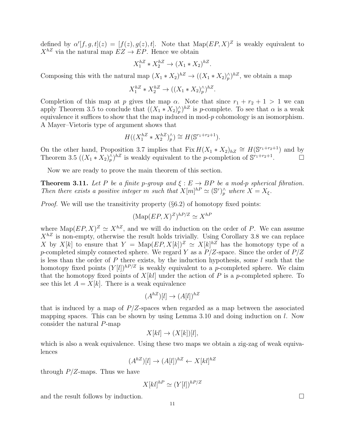defined by  $\alpha'[f,g,t](z) = [f(z), g(z), t]$ . Note that  $\text{Map}(EP, X)^Z$  is weakly equivalent to  $X^{hZ}$  via the natural map  $EZ \to EP$ . Hence we obtain

$$
X_1^{hZ} * X_2^{hZ} \to (X_1 * X_2)^{hZ}.
$$

Composing this with the natural map  $(X_1 * X_2)^{hZ} \to ((X_1 * X_2)^{\wedge}_p)^{hZ}$ , we obtain a map

$$
X_1^{hZ} * X_2^{hZ} \to ((X_1 * X_2)^\wedge_p)^{hZ}.
$$

Completion of this map at p gives the map  $\alpha$ . Note that since  $r_1 + r_2 + 1 > 1$  we can apply Theorem 3.5 to conclude that  $((X_1 * X_2)^{\wedge}_p)^{hZ}$  is p-complete. To see that  $\alpha$  is a weak equivalence it suffices to show that the map induced in mod- $p$  cohomology is an isomorphism. A Mayer–Vietoris type of argument shows that

$$
H((X_1^{hZ} * X_2^{hZ})_p^{\wedge}) \cong H(\mathbb{S}^{r_1+r_2+1}).
$$

On the other hand, Proposition 3.7 implies that Fix  $H(X_1 * X_2)_{hZ} \cong H(\mathbb{S}^{r_1+r_2+1})$  and by Theorem 3.5  $((X_1 * X_2)^\wedge_p)^{hZ}$  is weakly equivalent to the p-completion of  $\mathbb{S}^{r_1+r_2+1}$ .  $\Box$ 

Now we are ready to prove the main theorem of this section.

**Theorem 3.11.** Let P be a finite p-group and  $\xi : E \to BP$  be a mod-p spherical fibration. Then there exists a positive integer m such that  $X[m]^{hP} \simeq (\mathbb{S}^r)_p^{\wedge}$  where  $X = X_{\xi}$ .

*Proof.* We will use the transitivity property  $(\S6.2)$  of homotopy fixed points:

$$
(\text{Map}(EP, X)^Z)^{hP/Z} \simeq X^{hP}
$$

where  $\text{Map}(EP, X)^Z \simeq X^{hZ}$ , and we will do induction on the order of P. We can assume  $X^{hZ}$  is non-empty, otherwise the result holds trivially. Using Corollary 3.8 we can replace X by X[k] to ensure that  $Y = \text{Map}(EP, X[k])^Z \simeq X[k]^{hZ}$  has the homotopy type of a p-completed simply connected sphere. We regard Y as a  $P/Z$ -space. Since the order of  $P/Z$ is less than the order of  $P$  there exists, by the induction hypothesis, some  $l$  such that the homotopy fixed points  $(Y[l])^{hP/Z}$  is weakly equivalent to a p-completed sphere. We claim that the homotopy fixed points of  $X[k]$  under the action of P is a p-completed sphere. To see this let  $A = X[k]$ . There is a weak equivalence

$$
(A^{hZ})[l] \to (A[l])^{hZ}
$$

that is induced by a map of  $P/Z$ -spaces when regarded as a map between the associated mapping spaces. This can be shown by using Lemma 3.10 and doing induction on l. Now consider the natural P-map

$$
X[kl] \to (X[k])[l],
$$

which is also a weak equivalence. Using these two maps we obtain a zig-zag of weak equivalences

$$
(A^{hZ})[l] \to (A[l])^{hZ} \leftarrow X[kl]^{hZ}
$$

through  $P/Z$ -maps. Thus we have

$$
X[kl]^{hP} \simeq (Y[l])^{hP/Z}
$$

and the result follows by induction.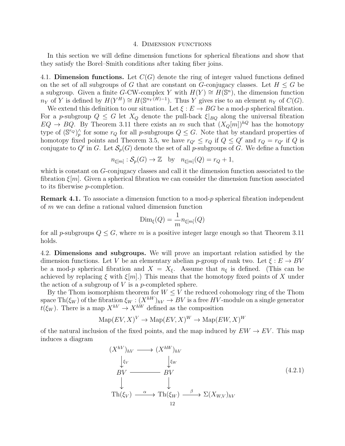#### 4. Dimension functions

In this section we will define dimension functions for spherical fibrations and show that they satisfy the Borel–Smith conditions after taking fiber joins.

4.1. Dimension functions. Let  $C(G)$  denote the ring of integer valued functions defined on the set of all subgroups of G that are constant on G-conjugacy classes. Let  $H \leq G$  be a subgroup. Given a finite G-CW-complex Y with  $H(Y) \cong H(\mathbb{S}^n)$ , the dimension function  $n_Y$  of Y is defined by  $H(Y^H) \cong H(\mathbb{S}^{n_Y(H)-1})$ . Thus Y gives rise to an element  $n_Y$  of  $C(G)$ .

We extend this definition to our situation. Let  $\xi : E \to BG$  be a mod-p spherical fibration. For a p-subgroup  $Q \leq G$  let  $X_Q$  denote the pull-back  $\xi|_{BQ}$  along the universal fibration  $EQ \rightarrow BQ$ . By Theorem 3.11 there exists an m such that  $(X_Q[m])^{hQ}$  has the homotopy type of  $(\mathbb{S}^r)^\wedge_p$  for some  $r_Q$  for all p-subgroups  $Q \leq G$ . Note that by standard properties of homotopy fixed points and Theorem 3.5, we have  $r_{Q'} \le r_Q$  if  $Q \le Q'$  and  $r_Q = r_{Q'}$  if Q is conjugate to Q' in G. Let  $\mathcal{S}_p(G)$  denote the set of all p-subgroups of G. We define a function

$$
n_{\xi[m]} : \mathcal{S}_p(G) \to \mathbb{Z} \quad \text{by} \quad n_{\xi[m]}(Q) = r_Q + 1,
$$

which is constant on G-conjugacy classes and call it the dimension function associated to the fibration  $\xi[m]$ . Given a spherical fibration we can consider the dimension function associated to its fiberwise p-completion.

**Remark 4.1.** To associate a dimension function to a mod-p spherical fibration independent of m we can define a rational valued dimension function

$$
\text{Dim}_{\xi}(Q)=\frac{1}{m}n_{\xi[m]}(Q)
$$

for all p-subgroups  $Q \leq G$ , where m is a positive integer large enough so that Theorem 3.11 holds.

4.2. Dimensions and subgroups. We will prove an important relation satisfied by the dimension functions. Let V be an elementary abelian p-group of rank two. Let  $\xi : E \to BV$ be a mod-p spherical fibration and  $X = X_{\xi}$ . Assume that  $n_{\xi}$  is defined. (This can be achieved by replacing  $\xi$  with  $\xi[m]$ .) This means that the homotopy fixed points of X under the action of a subgroup of  $V$  is a p-completed sphere.

By the Thom isomorphism theorem for  $W \leq V$  the reduced cohomology ring of the Thom space  $\text{Th}(\xi_W)$  of the fibration  $\xi_W : (X^{hW})_{hV} \to BV$  is a free  $HV$ -module on a single generator  $t(\xi_W)$ . There is a map  $X^{hV} \to X^{hW}$  defined as the composition

$$
\mathrm{Map}(EV, X)^V \to \mathrm{Map}(EV, X)^W \to \mathrm{Map}(EW, X)^W
$$

of the natural inclusion of the fixed points, and the map induced by  $EW \rightarrow EV$ . This map induces a diagram

$$
(X^{hV})_{hV} \longrightarrow (X^{hW})_{hV}
$$
  
\n
$$
\downarrow \xi_V
$$
  
\n
$$
BV \xrightarrow{\qquad \qquad \downarrow \xi_W}
$$
  
\n
$$
BV \xrightarrow{\qquad \qquad \downarrow \xi_W}
$$
  
\n
$$
\downarrow \qquad \qquad \downarrow
$$
  
\n
$$
\text{Th}(\xi_V) \xrightarrow{\alpha} \text{Th}(\xi_W) \xrightarrow{\beta} \Sigma(X_{W,V})_{hV}
$$
  
\n
$$
\xrightarrow{\qquad \qquad \downarrow 12}
$$
\n(4.2.1)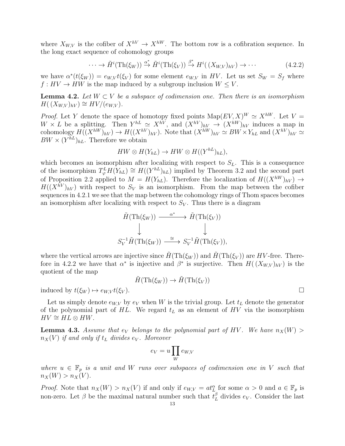where  $X_{W,V}$  is the cofiber of  $X^{hV} \to X^{hW}$ . The bottom row is a cofibration sequence. In the long exact sequence of cohomology groups

$$
\cdots \to \tilde{H}^i(\text{Th}(\xi_W)) \xrightarrow{\alpha^*} \tilde{H}^i(\text{Th}(\xi_V)) \xrightarrow{\beta^*} H^i((X_{W,V})_{hV}) \to \cdots
$$
 (4.2.2)

we have  $\alpha^*(t(\xi_W)) = e_{W,V}t(\xi_V)$  for some element  $e_{W,V}$  in HV. Let us set  $S_W = S_f$  where  $f: HV \to HW$  is the map induced by a subgroup inclusion  $W \leq V$ .

**Lemma 4.2.** Let  $W \subset V$  be a subspace of codimension one. Then there is an isomorphism  $H((X_{W,V})_{hV}) \cong HV/(e_{W,V}).$ 

*Proof.* Let Y denote the space of homotopy fixed points  $\text{Map}(EV, X)^W \simeq X^{hW}$ . Let V =  $W \times L$  be a splitting. Then  $Y^{hL} \simeq X^{hV}$ , and  $(X^{hV})_{hV} \to (X^{hW})_{hV}$  induces a map in cohomology  $H((X^{hV})_{hV}) \to H((X^{hV})_{hV})$ . Note that  $(X^{hW})_{hV} \simeq BW \times Y_{hL}$  and  $(X^{hV})_{hV} \simeq$  $BW \times (Y^{hL})_{hL}$ . Therefore we obtain

$$
HW \otimes H(Y_{hL}) \to HW \otimes H((Y^{hL})_{hL}),
$$

which becomes an isomorphism after localizing with respect to  $S_L$ . This is a consequence of the isomorphism  $T_{\varphi}^{L}H(Y_{hL}) \cong H((Y^{hL})_{hL})$  implied by Theorem 3.2 and the second part of Proposition 2.2 applied to  $M = H(Y_{hL})$ . Therefore the localization of  $H((X^{hW})_{hV}) \rightarrow$  $H((X^{hV})_{hV})$  with respect to  $S_V$  is an isomorphism. From the map between the cofiber sequences in 4.2.1 we see that the map between the cohomology rings of Thom spaces becomes an isomorphism after localizing with respect to  $S_V$ . Thus there is a diagram

$$
\tilde{H}(\text{Th}(\xi_W)) \xrightarrow{\alpha^*} \tilde{H}(\text{Th}(\xi_V))
$$
\n
$$
\downarrow \qquad \qquad \downarrow
$$
\n
$$
S_V^{-1} \tilde{H}(\text{Th}(\xi_W)) \xrightarrow{\cong} S_V^{-1} \tilde{H}(\text{Th}(\xi_V)),
$$

where the vertical arrows are injective since  $H(Th(\xi_W))$  and  $H(Th(\xi_V))$  are HV-free. Therefore in 4.2.2 we have that  $\alpha^*$  is injective and  $\beta^*$  is surjective. Then  $H((X_{W,V})_{hV})$  is the quotient of the map

$$
\tilde{H}(\text{Th}(\xi_W)) \to \tilde{H}(\text{Th}(\xi_V))
$$

induced by  $t(\xi_W) \mapsto e_{W,V} t(\xi_V)$ .

Let us simply denote  $e_{W,V}$  by  $e_V$  when W is the trivial group. Let  $t_L$  denote the generator of the polynomial part of  $HL$ . We regard  $t<sub>L</sub>$  as an element of  $HV$  via the isomorphism  $HV \cong HL \otimes HW.$ 

**Lemma 4.3.** Assume that  $e_V$  belongs to the polynomial part of HV. We have  $n_X(W)$  $n_X(V)$  if and only if  $t_L$  divides  $e_V$ . Moreover

$$
e_V = u \prod_W e_{W,V}
$$

where  $u \in \mathbb{F}_p$  is a unit and W runs over subspaces of codimension one in V such that  $n_X(W) > n_X(V)$ .

*Proof.* Note that  $n_X(W) > n_X(V)$  if and only if  $e_{W,V} = at_L^{\alpha}$  for some  $\alpha > 0$  and  $a \in \mathbb{F}_p$  is non-zero. Let  $\beta$  be the maximal natural number such that  $t_L^{\beta}$  divides  $e_V$ . Consider the last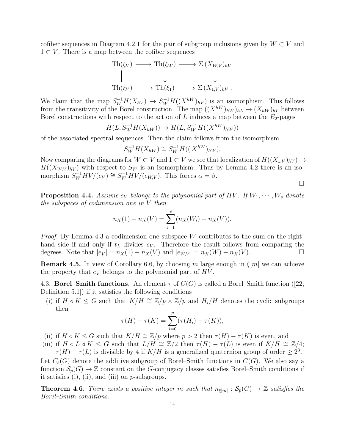cofiber sequences in Diagram 4.2.1 for the pair of subgroup inclusions given by  $W \subset V$  and  $1 \subset V$ . There is a map between the cofiber sequences

$$
\operatorname{Th}(\xi_V) \longrightarrow \operatorname{Th}(\xi_W) \longrightarrow \Sigma(X_{W,V})_{hV}
$$
  

$$
\parallel \qquad \qquad \downarrow \qquad \qquad \downarrow
$$
  

$$
\operatorname{Th}(\xi_V) \longrightarrow \operatorname{Th}(\xi_1) \longrightarrow \Sigma(X_{1,V})_{hV}.
$$

We claim that the map  $S_W^{-1}H(X_{hV}) \to S_W^{-1}H((X^{hW})_{hV})$  is an isomorphism. This follows from the transitivity of the Borel construction. The map  $((X^{hW})_{hW})_{hL} \to (X_{hW})_{hL}$  between Borel constructions with respect to the action of  $L$  induces a map between the  $E_2$ -pages

$$
H(L, S_W^{-1}H(X_{hW})) \to H(L, S_W^{-1}H((X^{hW})_{hW}))
$$

of the associated spectral sequences. Then the claim follows from the isomorphism

$$
S_W^{-1}H(X_{hW}) \cong S_W^{-1}H((X^{hW})_{hW}).
$$

Now comparing the diagrams for  $W \subset V$  and  $1 \subset V$  we see that localization of  $H((X_{1,V})_{hV}) \to$  $H((X_{W,V})_{hV})$  with respect to  $S_W$  is an isomorphism. Thus by Lemma 4.2 there is an isomorphism  $S_W^{-1}HV/(e_V) \cong S_W^{-1}HV/(e_{W,V})$ . This forces  $\alpha = \beta$ .

 $\Box$ 

**Proposition 4.4.** Assume  $e_V$  belongs to the polynomial part of HV. If  $W_1, \dots, W_s$  denote the subspaces of codimension one in V then

$$
n_X(1) - n_X(V) = \sum_{i=1}^{s} (n_X(W_i) - n_X(V)).
$$

*Proof.* By Lemma 4.3 a codimension one subspace W contributes to the sum on the righthand side if and only if  $t_L$  divides  $e_V$ . Therefore the result follows from comparing the degrees. Note that  $|e_V| = n_X(1) - n_X(V)$  and  $|e_{W,V}| = n_X(W) - n_X(V)$ .

**Remark 4.5.** In view of Corollary 6.6, by choosing m large enough in  $\xi[m]$  we can achieve the property that  $e_V$  belongs to the polynomial part of  $HV$ .

4.3. **Borel–Smith functions.** An element  $\tau$  of  $C(G)$  is called a Borel–Smith function ([22, Definition 5.1]) if it satisfies the following conditions

(i) if  $H \triangleleft K \leq G$  such that  $K/H \cong \mathbb{Z}/p \times \mathbb{Z}/p$  and  $H_i/H$  denotes the cyclic subgroups then

$$
\tau(H) - \tau(K) = \sum_{i=0}^{p} (\tau(H_i) - \tau(K)),
$$

(ii) if  $H \triangleleft K \leq G$  such that  $K/H \cong \mathbb{Z}/p$  where  $p > 2$  then  $\tau(H) - \tau(K)$  is even, and

(iii) if  $H \triangleleft L \triangleleft K \leq G$  such that  $L/H \cong \mathbb{Z}/2$  then  $\tau(H) - \tau(L)$  is even if  $K/H \cong \mathbb{Z}/4$ ;  $\tau(H) - \tau(L)$  is divisible by 4 if  $K/H$  is a generalized quaternion group of order  $\geq 2^3$ .

Let  $C_b(G)$  denote the additive subgroup of Borel–Smith functions in  $C(G)$ . We also say a function  $S_n(G) \to \mathbb{Z}$  constant on the G-conjugacy classes satisfies Borel–Smith conditions if it satisfies (i), (ii), and (iii) on  $p$ -subgroups.

**Theorem 4.6.** There exists a positive integer m such that  $n_{\xi[m]} : S_p(G) \to \mathbb{Z}$  satisfies the Borel–Smith conditions.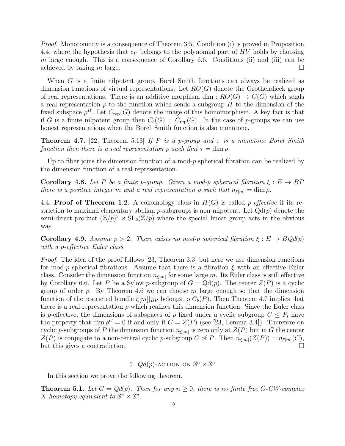Proof. Monotonicity is a consequence of Theorem 3.5. Condition (i) is proved in Proposition 4.4, where the hypothesis that  $e_V$  belongs to the polynomial part of HV holds by choosing m large enough. This is a consequence of Corollary  $6.6$ . Conditions (ii) and (iii) can be achieved by taking m large.

When G is a finite nilpotent group, Borel–Smith functions can always be realized as dimension functions of virtual representations. Let  $RO(G)$  denote the Grothendieck group of real representations. There is an additive morphism dim :  $RO(G) \rightarrow C(G)$  which sends a real representation  $\rho$  to the function which sends a subgroup H to the dimension of the fixed subspace  $\rho^H$ . Let  $C_{\text{rep}}(G)$  denote the image of this homomorphism. A key fact is that if G is a finite nilpotent group then  $C_b(G) = C_{rep}(G)$ . In the case of p-groups we can use honest representations when the Borel–Smith function is also monotone.

**Theorem 4.7.** [22, Theorem 5.13] If P is a p-group and  $\tau$  is a monotone Borel–Smith function then there is a real representation  $\rho$  such that  $\tau = \dim \rho$ .

Up to fiber joins the dimension function of a mod-p spherical fibration can be realized by the dimension function of a real representation.

**Corollary 4.8.** Let P be a finite p-group. Given a mod-p spherical fibration  $\xi : E \to BP$ there is a positive integer m and a real representation  $\rho$  such that  $n_{\xi[m]} = \dim \rho$ .

4.4. **Proof of Theorem 1.2.** A cohomology class in  $H(G)$  is called *p*-effective if its restriction to maximal elementary abelian  $p$ -subgroups is non-nilpotent. Let  $Qd(p)$  denote the semi-direct product  $(\mathbb{Z}/p)^2 \rtimes SL_2(\mathbb{Z}/p)$  where the special linear group acts in the obvious way.

**Corollary 4.9.** Assume  $p > 2$ . There exists no mod-p spherical fibration  $\xi : E \to BQd(p)$ with a p-effective Euler class.

Proof. The idea of the proof follows [23, Theorem 3.3] but here we use dimension functions for mod-p spherical fibrations. Assume that there is a fibration  $\xi$  with an effective Euler class. Consider the dimension function  $n_{\xi[m]}$  for some large m. Its Euler class is still effective by Corollary 6.6. Let P be a Sylow p-subgroup of  $G = \mathbb{Q}(p)$ . The center  $Z(P)$  is a cyclic group of order p. By Theorem 4.6 we can choose m large enough so that the dimension function of the restricted bundle  $\xi[m]|_{BP}$  belongs to  $C_b(P)$ . Then Theorem 4.7 implies that there is a real representation  $\rho$  which realizes this dimension function. Since the Euler class is p-effective, the dimensions of subspaces of  $\rho$  fixed under a cyclic subgroup  $C \leq P_i$  have the property that dim  $\rho^C = 0$  if and only if  $C = Z(P)$  (see [23, Lemma 3.4]). Therefore on cyclic p-subgroups of P the dimension function  $n_{\xi[m]}$  is zero only at  $Z(P)$  but in G the center  $Z(P)$  is conjugate to a non-central cyclic p-subgroup C of P. Then  $n_{\xi[m]}(Z(P)) = n_{\xi[m]}(C)$ , but this gives a contradiction.

5. 
$$
Qd(p)
$$
-ACTION ON  $\mathbb{S}^n \times \mathbb{S}^n$ 

In this section we prove the following theorem.

**Theorem 5.1.** Let  $G = Qd(p)$ . Then for any  $n > 0$ , there is no finite free G-CW-complex X homotopy equivalent to  $\mathbb{S}^n \times \mathbb{S}^n$ .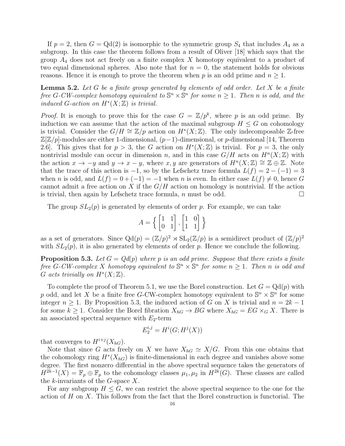If  $p = 2$ , then  $G = \text{Qd}(2)$  is isomorphic to the symmetric group  $S_4$  that includes  $A_4$  as a subgroup. In this case the theorem follows from a result of Oliver [18] which says that the group  $A_4$  does not act freely on a finite complex X homotopy equivalent to a product of two equal dimensional spheres. Also note that for  $n = 0$ , the statement holds for obvious reasons. Hence it is enough to prove the theorem when p is an odd prime and  $n \geq 1$ .

**Lemma 5.2.** Let G be a finite group generated by elements of odd order. Let X be a finite free G-CW-complex homotopy equivalent to  $\mathbb{S}^n \times \mathbb{S}^n$  for some  $n \geq 1$ . Then n is odd, and the induced G-action on  $H^*(X;\mathbb{Z})$  is trivial.

*Proof.* It is enough to prove this for the case  $G = \mathbb{Z}/p^k$ , where p is an odd prime. By induction we can assume that the action of the maximal subgroup  $H \leq G$  on cohomology is trivial. Consider the  $G/H \cong \mathbb{Z}/p$  action on  $H^*(X;\mathbb{Z})$ . The only indecomposable Z-free  $\mathbb{Z}[\mathbb{Z}/p]$ -modules are either 1-dimensional,  $(p-1)$ -dimensional, or p-dimensional [14, Theorem 2.6. This gives that for  $p > 3$ , the G action on  $H^*(X;\mathbb{Z})$  is trivial. For  $p = 3$ , the only nontrivial module can occur in dimension n, and in this case  $G/H$  acts on  $H<sup>n</sup>(X;\mathbb{Z})$  with the action  $x \to -y$  and  $y \to x - y$ , where  $x, y$  are generators of  $H<sup>n</sup>(X;\mathbb{Z}) \cong \mathbb{Z} \oplus \mathbb{Z}$ . Note that the trace of this action is  $-1$ , so by the Lefschetz trace formula  $L(f) = 2 - (-1) = 3$ when n is odd, and  $L(f) = 0 + (-1) = -1$  when n is even. In either case  $L(f) \neq 0$ , hence G cannot admit a free action on X if the  $G/H$  action on homology is nontrivial. If the action is trivial, then again by Lefschetz trace formula, n must be odd.  $\square$ 

The group  $SL_2(p)$  is generated by elements of order p. For example, we can take

$$
A = \left\{ \begin{bmatrix} 1 & 1 \\ 0 & 1 \end{bmatrix}, \begin{bmatrix} 1 & 0 \\ 1 & 1 \end{bmatrix} \right\}
$$

as a set of generators. Since  $Qd(p) = (\mathbb{Z}/p)^2 \rtimes SL_2(\mathbb{Z}/p)$  is a semidirect product of  $(\mathbb{Z}/p)^2$ with  $SL_2(p)$ , it is also generated by elements of order p. Hence we conclude the following.

**Proposition 5.3.** Let  $G = Qd(p)$  where p is an odd prime. Suppose that there exists a finite free G-CW-complex X homotopy equivalent to  $\mathbb{S}^n \times \mathbb{S}^n$  for some  $n \geq 1$ . Then n is odd and G acts trivially on  $H^*(X;\mathbb{Z})$ .

To complete the proof of Theorem 5.1, we use the Borel construction. Let  $G = \text{Qd}(p)$  with p odd, and let X be a finite free G-CW-complex homotopy equivalent to  $\mathbb{S}^n \times \mathbb{S}^n$  for some integer  $n \geq 1$ . By Proposition 5.3, the induced action of G on X is trivial and  $n = 2k - 1$ for some  $k \geq 1$ . Consider the Borel fibration  $X_{hG} \to BG$  where  $X_{hG} = EG \times_G X$ . There is an associated spectral sequence with  $E_2$ -term

$$
E_2^{i,j} = H^i(G; H^j(X))
$$

that converges to  $H^{i+j}(X_{hG})$ .

Note that since G acts freely on X we have  $X_{hG} \simeq X/G$ . From this one obtains that the cohomology ring  $H^*(X_{hG})$  is finite-dimensional in each degree and vanishes above some degree. The first nonzero differential in the above spectral sequence takes the generators of  $H^{2k-1}(X) = \mathbb{F}_p \oplus \mathbb{F}_p$  to the cohomology classes  $\mu_1, \mu_2$  in  $H^{2k}(G)$ . These classes are called the  $k$ -invariants of the  $G$ -space  $X$ .

For any subgroup  $H \leq G$ , we can restrict the above spectral sequence to the one for the action of  $H$  on  $X$ . This follows from the fact that the Borel construction is functorial. The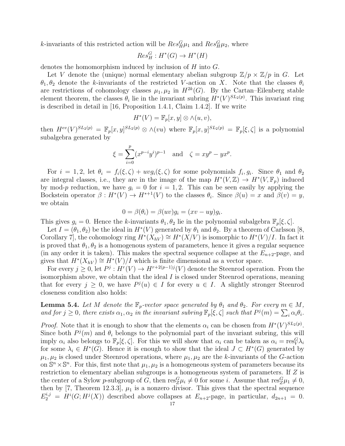k-invariants of this restricted action will be  $Res_H^G \mu_1$  and  $Res_H^G \mu_2$ , where

$$
Res_H^G : H^*(G) \to H^*(H)
$$

denotes the homomorphism induced by inclusion of H into G.

Let V denote the (unique) normal elementary abelian subgroup  $\mathbb{Z}/p \times \mathbb{Z}/p$  in G. Let  $\theta_1, \theta_2$  denote the k-invariants of the restricted V-action on X. Note that the classes  $\theta_i$ are restrictions of cohomology classes  $\mu_1, \mu_2$  in  $H^{2k}(G)$ . By the Cartan–Eilenberg stable element theorem, the classes  $\theta_i$  lie in the invariant subring  $H^*(V)^{SL_2(p)}$ . This invariant ring is described in detail in [16, Proposition 1.4.1, Claim 1.4.2]. If we write

$$
H^*(V) = \mathbb{F}_p[x, y] \otimes \wedge (u, v),
$$

then  $H^{ev}(V)^{SL_2(p)} = \mathbb{F}_p[x,y]^{SL_2(p)} \otimes \wedge (vu)$  where  $\mathbb{F}_p[x,y]^{SL_2(p)} = \mathbb{F}_p[\xi,\zeta]$  is a polynomial subalgebra generated by

$$
\xi = \sum_{i=0}^{p} (x^{p-i}y^i)^{p-1} \quad \text{and} \quad \zeta = xy^p - yx^p.
$$

For  $i = 1, 2$ , let  $\theta_i = f_i(\xi, \zeta) + uvg_i(\xi, \zeta)$  for some polynomials  $f_i, g_i$ . Since  $\theta_1$  and  $\theta_2$ are integral classes, i.e., they are in the image of the map  $H^*(V, \mathbb{Z}) \to H^*(V, \mathbb{F}_p)$  induced by mod-p reduction, we have  $g_i = 0$  for  $i = 1, 2$ . This can be seen easily by applying the Bockstein operator  $\beta: H^*(V) \to H^{*+1}(V)$  to the classes  $\theta_i$ . Since  $\beta(u) = x$  and  $\beta(v) = y$ , we obtain

$$
0 = \beta(\theta_i) = \beta(uv)g_i = (xv - uy)g_i.
$$

This gives  $g_i = 0$ . Hence the k-invariants  $\theta_1, \theta_2$  lie in the polynomial subalgebra  $\mathbb{F}_p[\xi, \zeta]$ .

Let  $I = (\theta_1, \theta_2)$  be the ideal in  $H^*(V)$  generated by  $\theta_1$  and  $\theta_2$ . By a theorem of Carlsson [8, Corollary 7, the cohomology ring  $H^*(X_{hV}) \cong H^*(X/V)$  is isomorphic to  $H^*(V)/I$ . In fact it is proved that  $\theta_1, \theta_2$  is a homogenous system of parameters, hence it gives a regular sequence (in any order it is taken). This makes the spectral sequence collapse at the  $E_{n+2}$ -page, and gives that  $H^*(X_{hV}) \cong H^*(V)/I$  which is finite dimensional as a vector space.

For every  $j \geq 0$ , let  $P^j: H^r(V) \to H^{r+2(p-1)j}(V)$  denote the Steenrod operation. From the isomorphism above, we obtain that the ideal I is closed under Steenrod operations, meaning that for every  $j \geq 0$ , we have  $P^j(u) \in I$  for every  $u \in I$ . A slightly stronger Steenrod closeness condition also holds:

**Lemma 5.4.** Let M denote the  $\mathbb{F}_p$ -vector space generated by  $\theta_1$  and  $\theta_2$ . For every  $m \in M$ , and for  $j \geq 0$ , there exists  $\alpha_1, \alpha_2$  in the invariant subring  $\mathbb{F}_p[\xi, \zeta]$  such that  $P^j(m) = \sum_i \alpha_i \theta_i$ .

*Proof.* Note that it is enough to show that the elements  $\alpha_i$  can be chosen from  $H^*(V)^{SL_2(p)}$ . Since both  $P^j(m)$  and  $\theta_i$  belongs to the polynomial part of the invariant subring, this will imply  $\alpha_i$  also belongs to  $\mathbb{F}_p[\xi,\zeta]$ . For this we will show that  $\alpha_i$  can be taken as  $\alpha_i = \text{res}_{V}^{G} \lambda_i$ for some  $\lambda_i \in H^*(G)$ . Hence it is enough to show that the ideal  $J \subset H^*(G)$  generated by  $\mu_1, \mu_2$  is closed under Steenrod operations, where  $\mu_1, \mu_2$  are the k-invariants of the G-action on  $\mathbb{S}^n \times \mathbb{S}^n$ . For this, first note that  $\mu_1, \mu_2$  is a homogeneous system of parameters because its restriction to elementary abelian subgroups is a homogeneous system of parameters. If Z is the center of a Sylow p-subgroup of G, then  $res_{Z}^{G} \mu_i \neq 0$  for some i. Assume that  $res_{Z}^{G} \mu_1 \neq 0$ , then by [7, Theorem 12.3.3],  $\mu_1$  is a nonzero divisor. This gives that the spectral sequence  $E_2^{i,j} = H^i(G; H^j(X))$  described above collapses at  $E_{n+2}$ -page, in particular,  $d_{2n+1} = 0$ .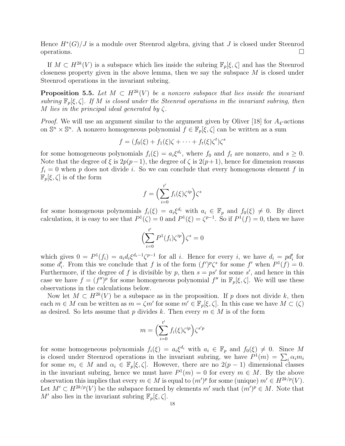Hence  $H^*(G)/J$  is a module over Steenrod algebra, giving that J is closed under Steenrod operations.  $\square$ 

If  $M \subset H^{2k}(V)$  is a subspace which lies inside the subring  $\mathbb{F}_p[\xi,\zeta]$  and has the Steenrod closeness property given in the above lemma, then we say the subspace  $M$  is closed under Steenrod operations in the invariant subring.

**Proposition 5.5.** Let  $M \text{ }\subset H^{2k}(V)$  be a nonzero subspace that lies inside the invariant subring  $\mathbb{F}_p[\xi,\zeta]$ . If M is closed under the Steenrod operations in the invariant subring, then M lies in the principal ideal generated by  $\zeta$ .

*Proof.* We will use an argument similar to the argument given by Oliver [18] for  $A_4$ -actions on  $\mathbb{S}^n \times \mathbb{S}^n$ . A nonzero homogeneous polynomial  $f \in \mathbb{F}_p[\xi, \zeta]$  can be written as a sum

$$
f = (f_0(\xi) + f_1(\xi)\zeta + \cdots + f_t(\xi)\zeta^t)\zeta^s
$$

for some homogeneous polynomials  $f_i(\xi) = a_i \xi^{d_i}$ , where  $f_0$  and  $f_t$  are nonzero, and  $s \geq 0$ . Note that the degree of  $\xi$  is  $2p(p-1)$ , the degree of  $\zeta$  is  $2(p+1)$ , hence for dimension reasons  $f_i = 0$  when p does not divide i. So we can conclude that every homogenous element f in  $\mathbb{F}_p[\xi,\zeta]$  is of the form

$$
f = \left(\sum_{i=0}^{t'} f_i(\xi) \zeta^{ip}\right) \zeta^s
$$

for some homogenous polynomials  $f_i(\xi) = a_i \xi^{d_i}$  with  $a_i \in \mathbb{F}_p$  and  $f_0(\xi) \neq 0$ . By direct calculation, it is easy to see that  $P^1(\zeta) = 0$  and  $P^1(\xi) = \zeta^{p-1}$ . So if  $P^1(f) = 0$ , then we have

$$
\left(\sum_{i=0}^{t'} P^1(f_i)\zeta^{ip}\right)\zeta^s = 0
$$

which gives  $0 = P^1(f_i) = a_i d_i \xi^{d_i-1} \zeta^{p-1}$  for all i. Hence for every i, we have  $d_i = pd'_i$  for some  $d'_i$ . From this we conclude that f is of the form  $(f')^p \zeta^s$  for some f' when  $P^1(f) = 0$ . Furthermore, if the degree of f is divisible by p, then  $s = ps'$  for some s', and hence in this case we have  $f = (f'')^p$  for some homogeneous polynomial  $f''$  in  $\mathbb{F}_p[\xi,\zeta]$ . We will use these observations in the calculations below.

Now let  $M \subset H^{2k}(V)$  be a subspace as in the proposition. If p does not divide k, then each  $m \in M$  can be written as  $m = \zeta m'$  for some  $m' \in \mathbb{F}_p[\xi, \zeta]$ . In this case we have  $M \subset (\zeta)$ as desired. So lets assume that p divides k. Then every  $m \in M$  is of the form

$$
m = \Big(\sum_{i=0}^{t'} f_i(\xi) \zeta^{ip}\Big) \zeta^{s'p}
$$

for some homogeneous polynomials  $f_i(\xi) = a_i \xi^{d_i}$  with  $a_i \in \mathbb{F}_p$  and  $f_0(\xi) \neq 0$ . Since M is closed under Steenrod operations in the invariant subring, we have  $P^1(m) = \sum_i \alpha_i m_i$ for some  $m_i \in M$  and  $\alpha_i \in \mathbb{F}_p[\xi, \zeta]$ . However, there are no  $2(p-1)$  dimensional classes in the invariant subring, hence we must have  $P^1(m) = 0$  for every  $m \in M$ . By the above observation this implies that every  $m \in M$  is equal to  $(m')^p$  for some (unique)  $m' \in H^{2k/p}(V)$ . Let  $M' \subset H^{2k/p}(V)$  be the subspace formed by elements m' such that  $(m')^p \in M$ . Note that M' also lies in the invariant subring  $\mathbb{F}_p[\xi,\zeta].$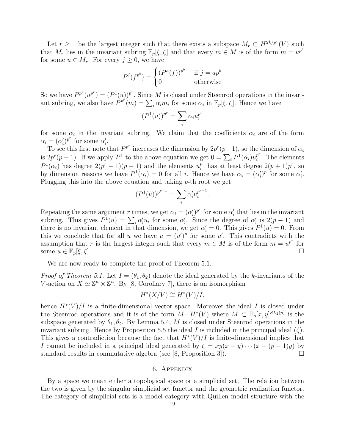Let  $r \geq 1$  be the largest integer such that there exists a subspace  $M_r \subset H^{2k/p^r}(V)$  such that  $M_r$  lies in the invariant subring  $\mathbb{F}_p[\xi,\zeta]$  and that every  $m \in M$  is of the form  $m = u^{p^r}$ for some  $u \in M_r$ . For every  $j \geq 0$ , we have

$$
P^{j}(f^{p^{b}}) = \begin{cases} (P^{a}(f))^{p^{b}} & \text{if } j = ap^{b} \\ 0 & \text{otherwise} \end{cases}
$$

So we have  $P^{p^r}(u^{p^r}) = (P^1(u))^{p^r}$ . Since M is closed under Steenrod operations in the invariant subring, we also have  $P^{p^i}(m) = \sum_i \alpha_i m_i$  for some  $\alpha_i$  in  $\mathbb{F}_p[\xi, \zeta]$ . Hence we have

$$
(P^1(u))^{p^r} = \sum_i \alpha_i u_i^{p^r}
$$

for some  $\alpha_i$  in the invariant subring. We claim that the coefficients  $\alpha_i$  are of the form  $\alpha_i = (\alpha'_i)^{p^r}$  for some  $\alpha'_i$ .

To see this first note that  $P^{p^r}$  increases the dimension by  $2p^r(p-1)$ , so the dimension of  $\alpha_i$ is  $2p^r(p-1)$ . If we apply  $P^1$  to the above equation we get  $0 = \sum_i P^1(\alpha_i) u_i^{p^r}$  $i^p$ . The elements  $P^1(\alpha_i)$  has degree  $2(p^r+1)(p-1)$  and the elements  $u_i^{p^r}$  has at least degree  $2(p+1)p^r$ , so by dimension reasons we have  $P^1(\alpha_i) = 0$  for all *i*. Hence we have  $\alpha_i = (\alpha'_i)^p$  for some  $\alpha'_i$ . Plugging this into the above equation and taking  $p$ -th root we get

$$
(P^1(u))^{p^{r-1}} = \sum_i \alpha'_i u_i^{p^{r-1}}.
$$

Repeating the same argument r times, we get  $\alpha_i = (\alpha'_i)^{p^r}$  for some  $\alpha'_i$  that lies in the invariant subring. This gives  $P^1(u) = \sum_i \alpha'_i u_i$  for some  $\alpha'_i$ . Since the degree of  $\alpha'_i$  is  $2(p-1)$  and there is no invariant element in that dimension, we get  $\alpha_i' = 0$ . This gives  $P^1(u) = 0$ . From this we conclude that for all u we have  $u = (u')^p$  for some u'. This contradicts with the assumption that r is the largest integer such that every  $m \in M$  is of the form  $m = u^{p^r}$  for some  $u \in \mathbb{F}_p[\xi, \zeta].$ 

We are now ready to complete the proof of Theorem 5.1.

*Proof of Theorem 5.1.* Let  $I = (\theta_1, \theta_2)$  denote the ideal generated by the k-invariants of the V-action on  $X \simeq \mathbb{S}^n \times \mathbb{S}^n$ . By [8, Corollary 7], there is an isomorphism

$$
H^*(X/V) \cong H^*(V)/I,
$$

hence  $H^*(V)/I$  is a finite-dimensional vector space. Moreover the ideal I is closed under the Steenrod operations and it is of the form  $M \cdot H^*(V)$  where  $M \subset \mathbb{F}_p[x,y]^{SL_2(p)}$  is the subspace generated by  $\theta_1, \theta_2$ . By Lemma 5.4, M is closed under Steenrod operations in the invariant subring. Hence by Proposition 5.5 the ideal I is included in the principal ideal  $(\zeta)$ . This gives a contradiction because the fact that  $H^*(V)/I$  is finite-dimensional implies that I cannot be included in a principal ideal generated by  $\zeta = xy(x+y)\cdots(x+(p-1)y)$  by standard results in commutative algebra (see [8, Proposition 3]).  $\Box$ 

### 6. Appendix

By a space we mean either a topological space or a simplicial set. The relation between the two is given by the singular simplicial set functor and the geometric realization functor. The category of simplicial sets is a model category with Quillen model structure with the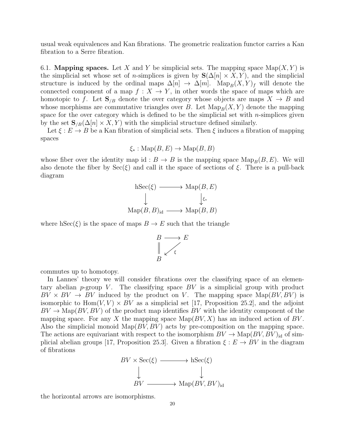usual weak equivalences and Kan fibrations. The geometric realization functor carries a Kan fibration to a Serre fibration.

6.1. **Mapping spaces.** Let X and Y be simplicial sets. The mapping space  $\text{Map}(X, Y)$  is the simplicial set whose set of *n*-simplices is given by  $S(\Delta[n] \times X, Y)$ , and the simplicial structure is induced by the ordinal maps  $\Delta[n] \to \Delta[m]$ . Map<sub>B</sub> $(X, Y)_f$  will denote the connected component of a map  $f: X \to Y$ , in other words the space of maps which are homotopic to f. Let  $\mathbf{S}_{/B}$  denote the over category whose objects are maps  $X \to B$  and whose morphisms are commutative triangles over B. Let  $\text{Map}_B(X, Y)$  denote the mapping space for the over category which is defined to be the simplicial set with  $n$ -simplices given by the set  $\mathbf{S}_{B}(\Delta[n] \times X, Y)$  with the simplicial structure defined similarly.

Let  $\xi : E \to B$  be a Kan fibration of simplicial sets. Then  $\xi$  induces a fibration of mapping spaces

$$
\xi_* : \text{Map}(B, E) \to \text{Map}(B, B)
$$

whose fiber over the identity map id :  $B \to B$  is the mapping space  $\text{Map}_B(B, E)$ . We will also denote the fiber by  $\text{Sec}(\xi)$  and call it the space of sections of  $\xi$ . There is a pull-back diagram

$$
\begin{array}{ccc}\n\text{hSec}(\xi) & \longrightarrow & \text{Map}(B, E) \\
\downarrow & & \downarrow \xi_* \\
\text{Map}(B, B)_{\text{id}} & \longrightarrow & \text{Map}(B, B)\n\end{array}
$$

where hSec( $\xi$ ) is the space of maps  $B \to E$  such that the triangle



commutes up to homotopy.

In Lannes' theory we will consider fibrations over the classifying space of an elementary abelian  $p$ -group V. The classifying space  $BV$  is a simplicial group with product  $BV \times BV \rightarrow BV$  induced by the product on V. The mapping space  $\text{Map}(BV, BV)$  is isomorphic to  $Hom(V, V) \times BV$  as a simplicial set [17, Proposition 25.2], and the adjoint  $BV \to \text{Map}(BV, BV)$  of the product map identifies  $BV$  with the identity component of the mapping space. For any X the mapping space  $\text{Map}(BV, X)$  has an induced action of BV. Also the simplicial monoid  $\text{Map}(BV, BV)$  acts by pre-composition on the mapping space. The actions are equivariant with respect to the isomorphism  $BV \to \text{Map}(BV, BV)_{\text{id}}$  of simplicial abelian groups [17, Proposition 25.3]. Given a fibration  $\xi : E \to BV$  in the diagram of fibrations



the horizontal arrows are isomorphisms.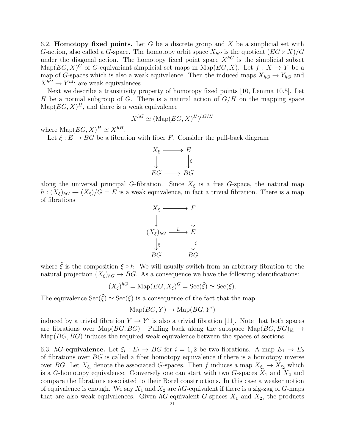6.2. **Homotopy fixed points.** Let G be a discrete group and X be a simplicial set with G-action, also called a G-space. The homotopy orbit space  $X_{hG}$  is the quotient  $(EG \times X)/G$ under the diagonal action. The homotopy fixed point space  $X^{hG}$  is the simplicial subset Map( $EG, X)^G$  of G-equivariant simplicial set maps in Map( $EG, X$ ). Let  $f : X \to Y$  be a map of G-spaces which is also a weak equivalence. Then the induced maps  $X_{hG} \to Y_{hG}$  and  $X^{hG} \to Y^{hG}$  are weak equivalences.

Next we describe a transitivity property of homotopy fixed points [10, Lemma 10.5]. Let H be a normal subgroup of G. There is a natural action of  $G/H$  on the mapping space  $\text{Map}(EG, X)^H$ , and there is a weak equivalence

$$
X^{hG} \simeq (\text{Map}(EG, X)^H)^{hG/H}
$$

where  $\text{Map}(EG, X)^H \simeq X^{hH}.$ 

Let  $\xi : E \to BG$  be a fibration with fiber F. Consider the pull-back diagram



along the universal principal G-fibration. Since  $X_{\xi}$  is a free G-space, the natural map  $h: (X_{\xi})_{h} \to (X_{\xi})/G = E$  is a weak equivalence, in fact a trivial fibration. There is a map of fibrations



where  $\tilde{\xi}$  is the composition  $\xi \circ h$ . We will usually switch from an arbitrary fibration to the natural projection  $(X_{\xi})_{hG} \to BG$ . As a consequence we have the following identifications:

$$
(X_{\xi})^{hG} = \text{Map}(EG, X_{\xi})^G = \text{Sec}(\tilde{\xi}) \simeq \text{Sec}(\xi).
$$

The equivalence  $\operatorname{Sec}(\tilde{\xi}) \simeq \operatorname{Sec}(\xi)$  is a consequence of the fact that the map

$$
\text{Map}(BG, Y) \to \text{Map}(BG, Y')
$$

induced by a trivial fibration  $Y \to Y'$  is also a trivial fibration [11]. Note that both spaces are fibrations over Map( $BG, BG$ ). Pulling back along the subspace Map( $BG, BG$ )<sub>id</sub>  $\rightarrow$  $\text{Map}(BG, BG)$  induces the required weak equivalence between the spaces of sections.

6.3. hG-equivalence. Let  $\xi_i : E_i \to BG$  for  $i = 1, 2$  be two fibrations. A map  $E_1 \to E_2$ of fibrations over  $BG$  is called a fiber homotopy equivalence if there is a homotopy inverse over BG. Let  $X_{\xi_i}$  denote the associated G-spaces. Then f induces a map  $X_{\xi_1} \to X_{\xi_2}$  which is a G-homotopy equivalence. Conversely one can start with two G-spaces  $X_1$  and  $X_2$  and compare the fibrations associated to their Borel constructions. In this case a weaker notion of equivalence is enough. We say  $X_1$  and  $X_2$  are hG-equivalent if there is a zig-zag of G-maps that are also weak equivalences. Given  $h$ G-equivalent G-spaces  $X_1$  and  $X_2$ , the products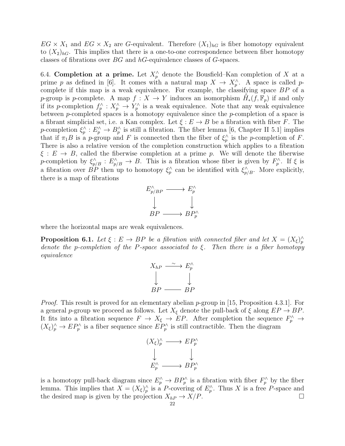$EG \times X_1$  and  $EG \times X_2$  are G-equivalent. Therefore  $(X_1)_{hG}$  is fiber homotopy equivalent to  $(X_2)_{hG}$ . This implies that there is a one-to-one correspondence between fiber homotopy classes of fibrations over BG and hG-equivalence classes of G-spaces.

6.4. Completion at a prime. Let  $X_p^{\wedge}$  denote the Bousfield–Kan completion of X at a prime p as defined in [6]. It comes with a natural map  $X \to X_p^{\wedge}$ . A space is called pcomplete if this map is a weak equivalence. For example, the classifying space BP of a p-group is p-complete. A map  $f: X \to Y$  induces an isomorphism  $\check{H}_*(f, \mathbb{F}_p)$  if and only if its p-completion  $f_p^{\wedge}: X_p^{\wedge} \to Y_p^{\wedge}$  is a weak equivalence. Note that any weak equivalence between p-completed spaces is a homotopy equivalence since the p-completion of a space is a fibrant simplicial set, i.e. a Kan complex. Let  $\xi : E \to B$  be a fibration with fiber F. The p-completion  $\xi_p^{\wedge}: E_p^{\wedge} \to B_p^{\wedge}$  is still a fibration. The fiber lemma [6, Chapter II 5.1] implies that if  $\pi_1 B$  is a p-group and F is connected then the fiber of  $\xi_p^{\wedge}$  is the p-completion of F. There is also a relative version of the completion construction which applies to a fibration  $\xi : E \to B$ , called the fiberwise completion at a prime p. We will denote the fiberwise p-completion by  $\xi_{p/B}^{\wedge}: E_{p/B}^{\wedge} \to B$ . This is a fibration whose fiber is given by  $F_p^{\wedge}$ . If  $\xi$  is a fibration over  $\hat{BP}$  then up to homotopy  $\xi_p^{\wedge}$  can be identified with  $\xi_{p/B}^{\wedge}$ . More explicitly, there is a map of fibrations



where the horizontal maps are weak equivalences.

**Proposition 6.1.** Let  $\xi : E \to BP$  be a fibration with connected fiber and let  $X = (X_{\xi})_p^{\wedge}$ denote the p-completion of the P-space associated to  $\xi$ . Then there is a fiber homotopy equivalence

$$
X_{hP} \xrightarrow{\sim} E_p^{\wedge}
$$
  
\n
$$
\downarrow
$$
  
\n
$$
BP \xrightarrow{\sim} BP
$$

*Proof.* This result is proved for an elementary abelian p-group in [15, Proposition 4.3.1]. For a general p-group we proceed as follows. Let  $X_{\xi}$  denote the pull-back of  $\xi$  along  $EP \rightarrow BP$ . It fits into a fibration sequence  $F \to X_{\xi} \to EP$ . After completion the sequence  $F_p^{\wedge} \to$  $(X_{\xi})_p^{\wedge} \to EP_p^{\wedge}$  is a fiber sequence since  $EP_p^{\wedge}$  is still contractible. Then the diagram



is a homotopy pull-back diagram since  $E_p^{\wedge} \to BP_p^{\wedge}$  is a fibration with fiber  $F_p^{\wedge}$  by the fiber lemma. This implies that  $X = (X_{\xi})_p^{\wedge}$  is a P-covering of  $E_p^{\wedge}$ . Thus X is a free P-space and the desired map is given by the projection  $X_{hP} \to X/P$ .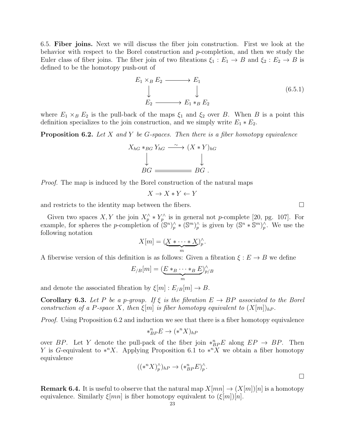6.5. Fiber joins. Next we will discuss the fiber join construction. First we look at the behavior with respect to the Borel construction and p-completion, and then we study the Euler class of fiber joins. The fiber join of two fibrations  $\xi_1 : E_1 \to B$  and  $\xi_2 : E_2 \to B$  is defined to be the homotopy push-out of

$$
E_1 \times_B E_2 \longrightarrow E_1
$$
  
\n
$$
\downarrow \qquad \qquad \downarrow
$$
  
\n
$$
E_2 \longrightarrow E_1 *_{B} E_2
$$
  
\n(6.5.1)

where  $E_1 \times_B E_2$  is the pull-back of the maps  $\xi_1$  and  $\xi_2$  over B. When B is a point this definition specializes to the join construction, and we simply write  $E_1 * E_2$ .

**Proposition 6.2.** Let X and Y be G-spaces. Then there is a fiber homotopy equivalence

$$
X_{hG} *_{BG} Y_{hG} \xrightarrow{\sim} (X * Y)_{hG}
$$
  
\n
$$
\downarrow \qquad \qquad \downarrow
$$
  
\n
$$
BG \xrightarrow{\sim} BG.
$$

Proof. The map is induced by the Borel construction of the natural maps

$$
X \to X*Y \gets Y
$$

and restricts to the identity map between the fibers.

Given two spaces X, Y the join  $X_p^{\wedge} * Y_p^{\wedge}$  is in general not p-complete [20, pg. 107]. For example, for spheres the *p*-completion of  $(\mathbb{S}^n)_p^{\wedge} * (\mathbb{S}^m)_p^{\wedge}$  is given by  $(\mathbb{S}^n * \mathbb{S}^m)_p^{\wedge}$ . We use the following notation

$$
X[m] = (\underbrace{X * \cdots * X}_{m})_{p}^{\wedge}.
$$

A fiberwise version of this definition is as follows: Given a fibration  $\xi : E \to B$  we define

$$
E_{/B}[m] = (\underbrace{E *_{B} \cdots *_{B} E}_{m})_{p/B}^{\wedge}
$$

and denote the associated fibration by  $\xi[m] : E_{/B}[m] \to B$ .

**Corollary 6.3.** Let P be a p-group. If  $\xi$  is the fibration  $E \to BP$  associated to the Borel construction of a P-space X, then  $\xi[m]$  is fiber homotopy equivalent to  $(X[m])_{hP}$ .

*Proof.* Using Proposition 6.2 and induction we see that there is a fiber homotopy equivalence

$$
*_{BP}^n E \to (*^n X)_{hP}
$$

over BP. Let Y denote the pull-pack of the fiber join  $*_{BP}^n E$  along  $EP \rightarrow BP$ . Then Y is G-equivalent to  $*^n X$ . Applying Proposition 6.1 to  $*^n X$  we obtain a fiber homotopy equivalence

$$
((\ast^n X)^{\wedge}_p)_{hP} \to (\ast^n_{BP} E)^{\wedge}_p.
$$

**Remark 6.4.** It is useful to observe that the natural map  $X[mn] \rightarrow (X[m])[n]$  is a homotopy equivalence. Similarly  $\xi$ [mn] is fiber homotopy equivalent to  $(\xi[m])[n]$ .

 $\Box$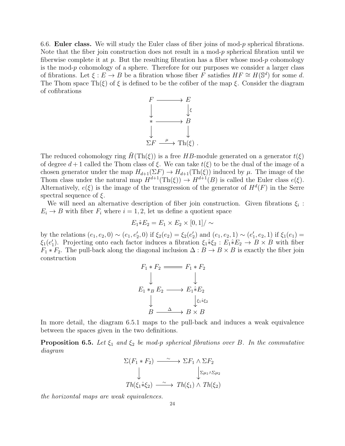6.6. Euler class. We will study the Euler class of fiber joins of mod- $p$  spherical fibrations. Note that the fiber join construction does not result in a mod- $p$  spherical fibration until we fiberwise complete it at p. But the resulting fibration has a fiber whose mod-p cohomology is the mod- $p$  cohomology of a sphere. Therefore for our purposes we consider a larger class of fibrations. Let  $\xi : E \to B$  be a fibration whose fiber  $\overline{F}$  satisfies  $HF \cong H(\mathbb{S}^d)$  for some d. The Thom space Th(ξ) of  $\xi$  is defined to be the cofiber of the map  $\xi$ . Consider the diagram of cofibrations



The reduced cohomology ring  $H(Th(\xi))$  is a free HB-module generated on a generator  $t(\xi)$ of degree  $d+1$  called the Thom class of  $\xi$ . We can take  $t(\xi)$  to be the dual of the image of a chosen generator under the map  $H_{d+1}(\Sigma F) \to H_{d+1}(\text{Th}(\xi))$  induced by  $\mu$ . The image of the Thom class under the natural map  $H^{d+1}(\text{Th}(\xi)) \to H^{d+1}(B)$  is called the Euler class  $e(\xi)$ . Alternatively,  $e(\xi)$  is the image of the transgression of the generator of  $H^d(F)$  in the Serre spectral sequence of  $\xi$ .

We will need an alternative description of fiber join construction. Given fibrations  $\xi_i$ :  $E_i \rightarrow B$  with fiber  $F_i$  where  $i = 1, 2$ , let us define a quotient space

$$
E_1 \hat{*} E_2 = E_1 \times E_2 \times [0,1] / \sim
$$

by the relations  $(e_1, e_2, 0) \sim (e_1, e'_2, 0)$  if  $\xi_2(e_2) = \xi_2(e'_2)$  and  $(e_1, e_2, 1) \sim (e'_1, e_2, 1)$  if  $\xi_1(e_1) =$  $\xi_1(e'_1)$ . Projecting onto each factor induces a fibration  $\xi_1 * \xi_2 : E_1 * E_2 \to B \times B$  with fiber  $F_1 * F_2$ . The pull-back along the diagonal inclusion  $\Delta : B \to B \times B$  is exactly the fiber join construction

$$
F_1 * F_2 \longrightarrow F_1 * F_2
$$
  
\n
$$
\downarrow \qquad \qquad \downarrow
$$
  
\n
$$
E_1 *_{B} E_2 \longrightarrow E_1 * E_2
$$
  
\n
$$
\downarrow \qquad \qquad \downarrow \epsilon_1 * \epsilon_2
$$
  
\n
$$
B \longrightarrow B \times B
$$

In more detail, the diagram 6.5.1 maps to the pull-back and induces a weak equivalence between the spaces given in the two definitions.

**Proposition 6.5.** Let  $\xi_1$  and  $\xi_2$  be mod-p spherical fibrations over B. In the commutative diagram

$$
\Sigma(F_1 * F_2) \xrightarrow{\sim} \Sigma F_1 \wedge \Sigma F_2
$$
  

$$
\downarrow \qquad \qquad \downarrow \Sigma \mu_1 \wedge \Sigma \mu_2
$$
  

$$
Th(\xi_1 * \xi_2) \xrightarrow{\sim} Th(\xi_1) \wedge Th(\xi_2)
$$

the horizontal maps are weak equivalences.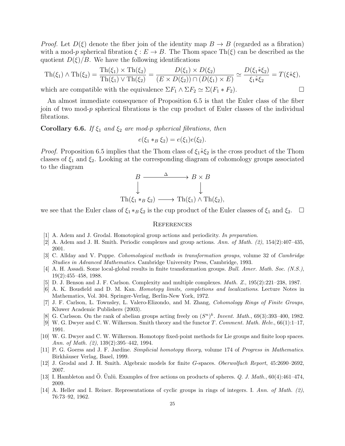*Proof.* Let  $D(\xi)$  denote the fiber join of the identity map  $B \to B$  (regarded as a fibration) with a mod-p spherical fibration  $\xi : E \to B$ . The Thom space Th( $\xi$ ) can be described as the quotient  $D(\xi)/B$ . We have the following identifications

$$
\mathrm{Th}(\xi_1) \wedge \mathrm{Th}(\xi_2) = \frac{\mathrm{Th}(\xi_1) \times \mathrm{Th}(\xi_2)}{\mathrm{Th}(\xi_1) \vee \mathrm{Th}(\xi_2)} = \frac{D(\xi_1) \times D(\xi_2)}{(E \times D(\xi_2)) \cap (D(\xi_1) \times E)} \simeq \frac{D(\xi_1 \hat{*} \xi_2)}{\xi_1 \hat{*} \xi_2} = T(\xi \hat{*} \xi),
$$

which are compatible with the equivalence  $\Sigma F_1 \wedge \Sigma F_2 \simeq \Sigma (F_1 * F_2)$ .

An almost immediate consequence of Proposition 6.5 is that the Euler class of the fiber join of two mod-p spherical fibrations is the cup product of Euler classes of the individual fibrations.

Corollary 6.6. If  $\xi_1$  and  $\xi_2$  are mod-p spherical fibrations, then

 $e(\xi_1 *_{B} \xi_2) = e(\xi_1)e(\xi_2).$ 

*Proof.* Proposition 6.5 implies that the Thom class of  $\xi_1 * \xi_2$  is the cross product of the Thom classes of  $\xi_1$  and  $\xi_2$ . Looking at the corresponding diagram of cohomology groups associated to the diagram

$$
B \xrightarrow{\Delta} B \times B
$$
  
\n
$$
\downarrow \qquad \qquad \downarrow
$$
  
\n
$$
\text{Th}(\xi_1 *_{B} \xi_2) \longrightarrow \text{Th}(\xi_1) \land \text{Th}(\xi_2),
$$

we see that the Euler class of  $\xi_1 *_{B} \xi_2$  is the cup product of the Euler classes of  $\xi_1$  and  $\xi_2$ .  $\Box$ 

#### **REFERENCES**

- [1] A. Adem and J. Grodal. Homotopical group actions and periodicity. In preparation.
- [2] A. Adem and J. H. Smith. Periodic complexes and group actions. Ann. of Math. (2), 154(2):407–435, 2001.
- [3] C. Allday and V. Puppe. Cohomological methods in transformation groups, volume 32 of Cambridge Studies in Advanced Mathematics. Cambridge University Press, Cambridge, 1993.
- [4] A. H. Assadi. Some local-global results in finite transformation groups. Bull. Amer. Math. Soc. (N.S.), 19(2):455–458, 1988.
- [5] D. J. Benson and J. F. Carlson. Complexity and multiple complexes. Math. Z., 195(2):221–238, 1987.
- [6] A. K. Bousfield and D. M. Kan. Homotopy limits, completions and localizations. Lecture Notes in Mathematics, Vol. 304. Springer-Verlag, Berlin-New York, 1972.
- [7] J. F. Carlson, L. Townsley, L. Valero-Elizondo, and M. Zhang, Cohomology Rings of Finite Groups, Kluwer Academic Publishers (2003).
- [8] G. Carlsson. On the rank of abelian groups acting freely on  $(S^n)^k$ . Invent. Math., 69(3):393-400, 1982.
- [9] W. G. Dwyer and C. W. Wilkerson. Smith theory and the functor T. Comment. Math. Helv., 66(1):1–17, 1991.
- [10] W. G. Dwyer and C. W. Wilkerson. Homotopy fixed-point methods for Lie groups and finite loop spaces. Ann. of Math. (2), 139(2):395–442, 1994.
- [11] P. G. Goerss and J. F. Jardine. Simplicial homotopy theory, volume 174 of Progress in Mathematics. Birkhäuser Verlag, Basel, 1999.
- [12] J. Grodal and J. H. Smith. Algebraic models for finite G-spaces. Oberwolfach Report, 45:2690–2692, 2007.
- [13] I. Hambleton and  $\ddot{O}$ . Unlü. Examples of free actions on products of spheres. Q. J. Math., 60(4):461–474, 2009.
- [14] A. Heller and I. Reiner. Representations of cyclic groups in rings of integers. I. Ann. of Math. (2), 76:73–92, 1962.